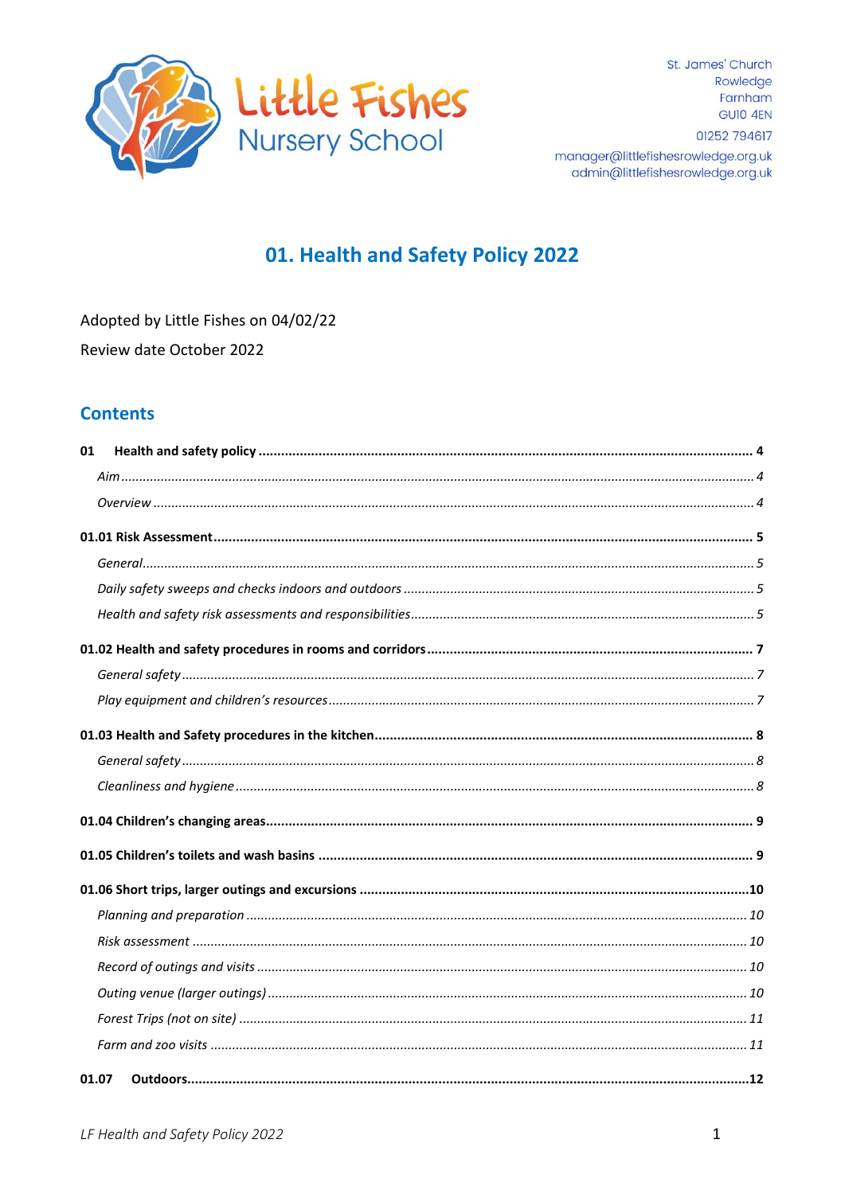

St. James' Church Rowledge Farnham GUIO 4EN 01252 794617

manager@littlefishesrowledge.org.uk admin@littlefishesrowledge.org.uk

# 01. Health and Safety Policy 2022

Adopted by Little Fishes on 04/02/22 Review date October 2022

### **Contents**

| 01    |  |
|-------|--|
|       |  |
|       |  |
|       |  |
|       |  |
|       |  |
|       |  |
|       |  |
|       |  |
|       |  |
|       |  |
|       |  |
|       |  |
|       |  |
|       |  |
|       |  |
|       |  |
|       |  |
|       |  |
|       |  |
|       |  |
|       |  |
| 01.07 |  |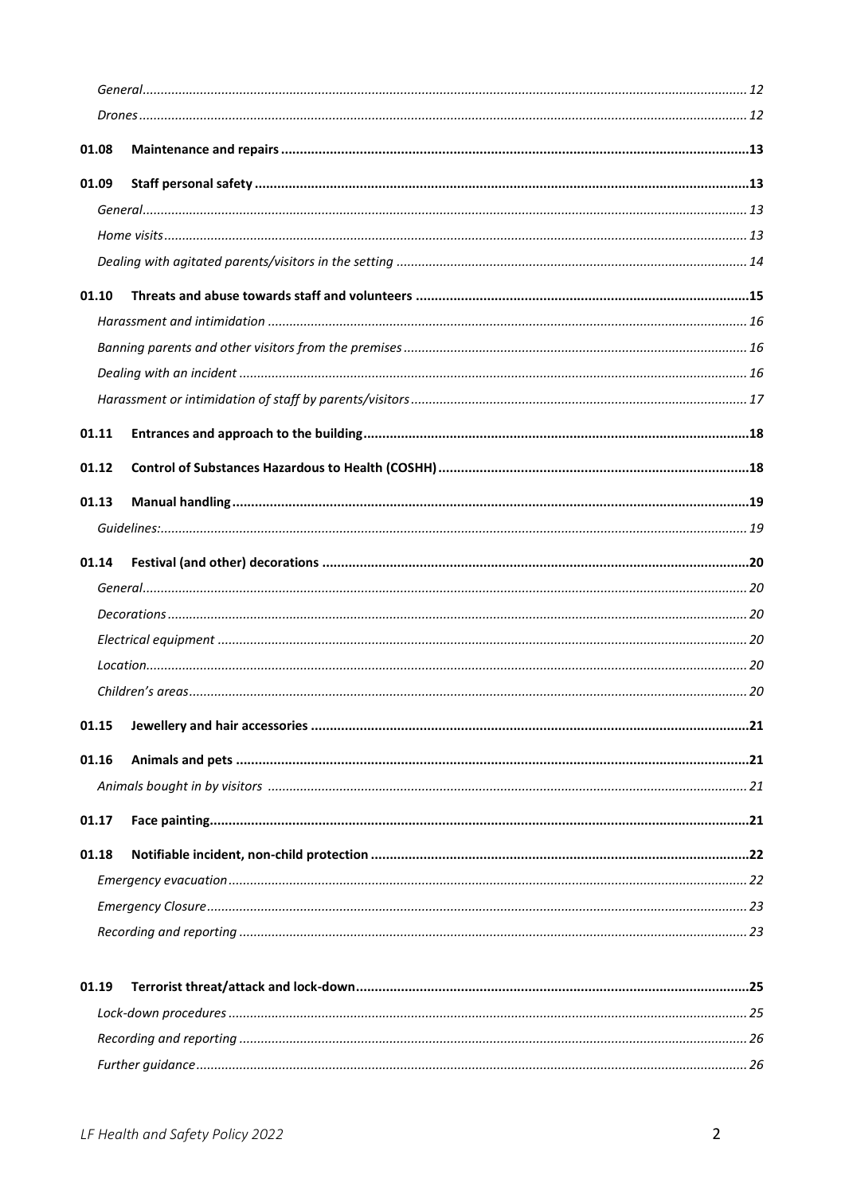| 01.08 |  |
|-------|--|
| 01.09 |  |
|       |  |
|       |  |
|       |  |
| 01.10 |  |
|       |  |
|       |  |
|       |  |
|       |  |
| 01.11 |  |
| 01.12 |  |
| 01.13 |  |
|       |  |
|       |  |
|       |  |
| 01.14 |  |
|       |  |
|       |  |
|       |  |
|       |  |
| 01.15 |  |
| 01.16 |  |
|       |  |
| 01.17 |  |
| 01.18 |  |
|       |  |
|       |  |
|       |  |
| 01.19 |  |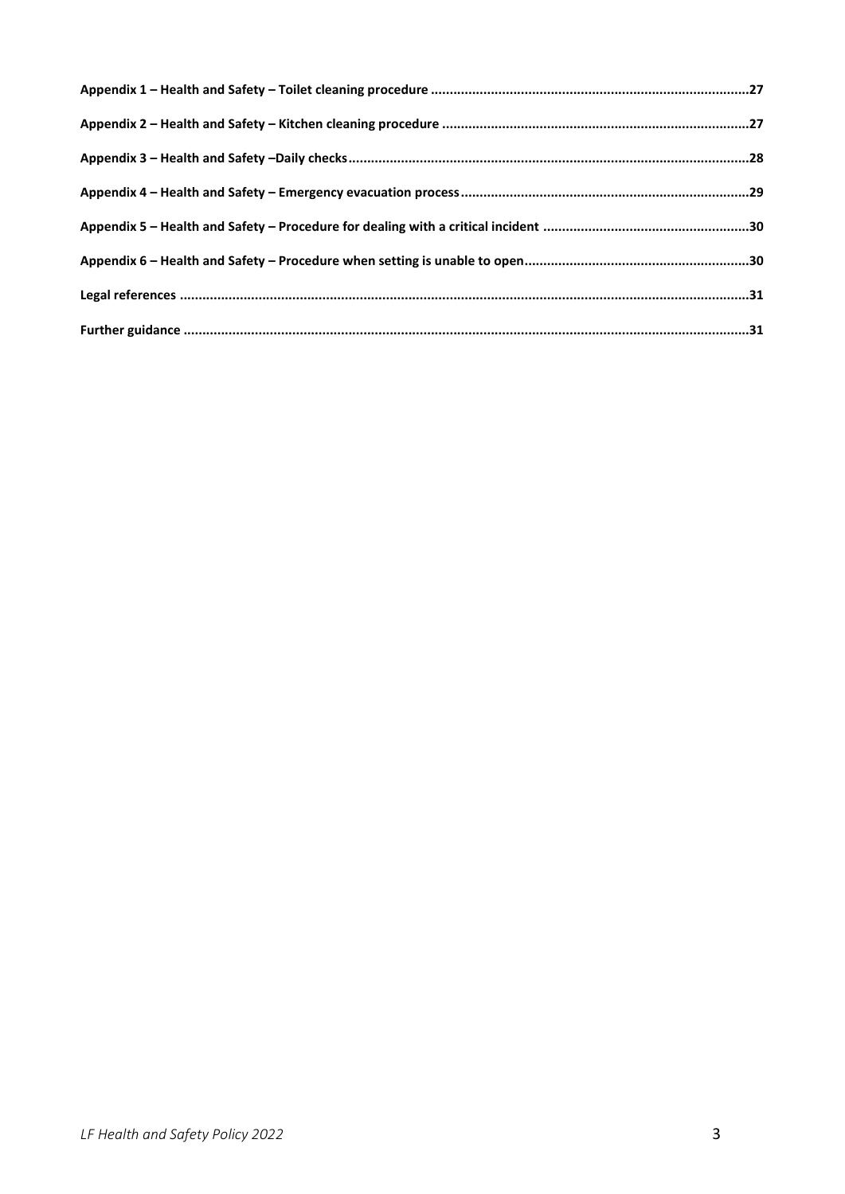<span id="page-2-0"></span>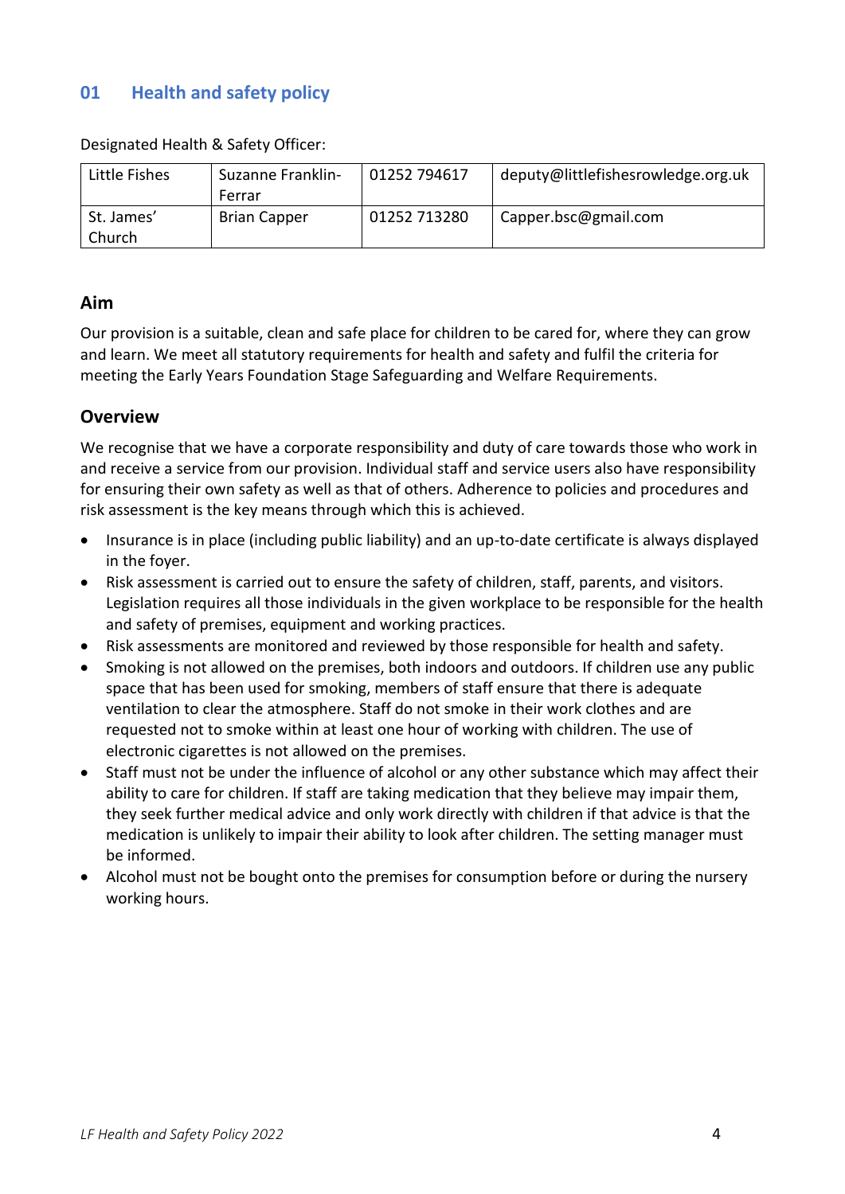# **01 Health and safety policy**

Designated Health & Safety Officer:

| Little Fishes | <b>Suzanne Franklin-</b> | 01252 794617 | deputy@littlefishesrowledge.org.uk |
|---------------|--------------------------|--------------|------------------------------------|
|               | Ferrar                   |              |                                    |
| St. James'    | <b>Brian Capper</b>      | 01252 713280 | Capper.bsc@gmail.com               |
| Church        |                          |              |                                    |

#### <span id="page-3-0"></span>**Aim**

Our provision is a suitable, clean and safe place for children to be cared for, where they can grow and learn. We meet all statutory requirements for health and safety and fulfil the criteria for meeting the Early Years Foundation Stage Safeguarding and Welfare Requirements.

#### <span id="page-3-1"></span>**Overview**

We recognise that we have a corporate responsibility and duty of care towards those who work in and receive a service from our provision. Individual staff and service users also have responsibility for ensuring their own safety as well as that of others. Adherence to policies and procedures and risk assessment is the key means through which this is achieved.

- Insurance is in place (including public liability) and an up-to-date certificate is always displayed in the foyer.
- Risk assessment is carried out to ensure the safety of children, staff, parents, and visitors. Legislation requires all those individuals in the given workplace to be responsible for the health and safety of premises, equipment and working practices.
- Risk assessments are monitored and reviewed by those responsible for health and safety.
- Smoking is not allowed on the premises, both indoors and outdoors. If children use any public space that has been used for smoking, members of staff ensure that there is adequate ventilation to clear the atmosphere. Staff do not smoke in their work clothes and are requested not to smoke within at least one hour of working with children. The use of electronic cigarettes is not allowed on the premises.
- Staff must not be under the influence of alcohol or any other substance which may affect their ability to care for children. If staff are taking medication that they believe may impair them, they seek further medical advice and only work directly with children if that advice is that the medication is unlikely to impair their ability to look after children. The setting manager must be informed.
- <span id="page-3-2"></span>• Alcohol must not be bought onto the premises for consumption before or during the nursery working hours.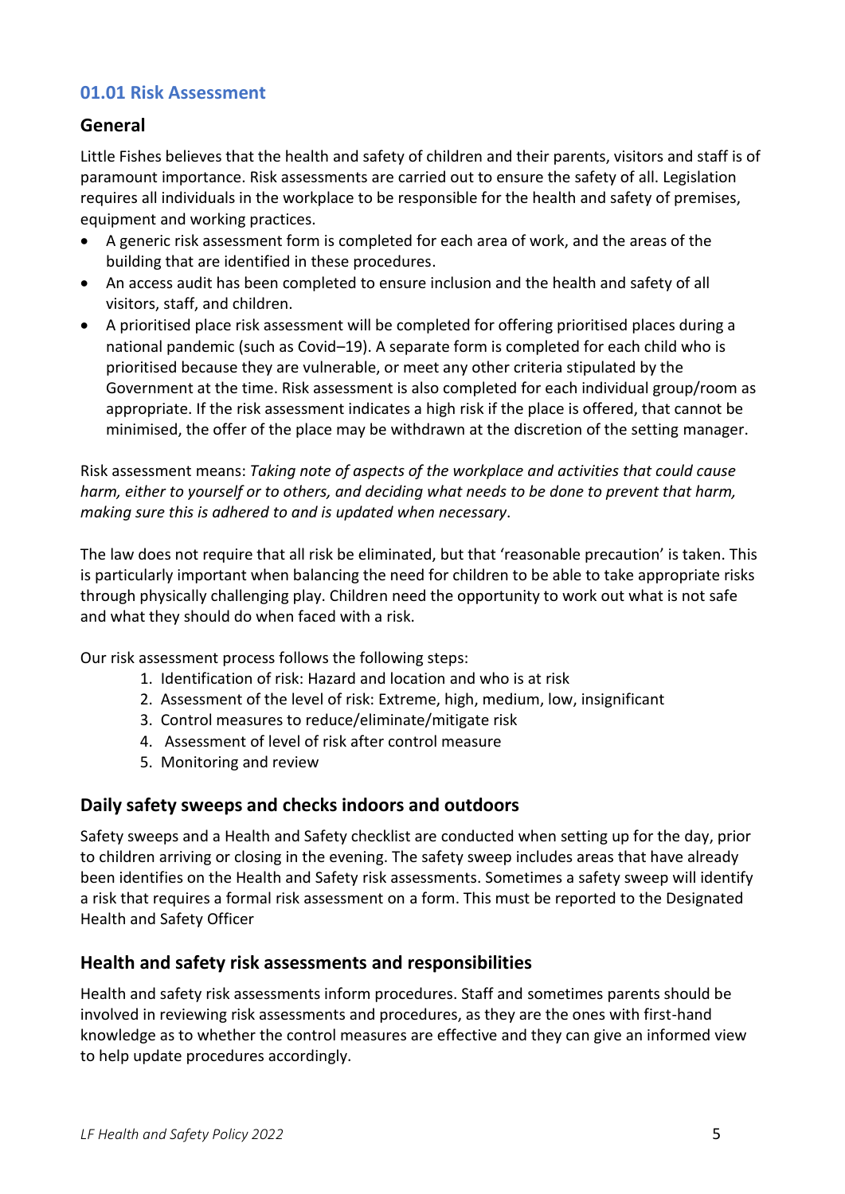### **01.01 Risk Assessment**

### <span id="page-4-0"></span>**General**

Little Fishes believes that the health and safety of children and their parents, visitors and staff is of paramount importance. Risk assessments are carried out to ensure the safety of all. Legislation requires all individuals in the workplace to be responsible for the health and safety of premises, equipment and working practices.

- A generic risk assessment form is completed for each area of work, and the areas of the building that are identified in these procedures.
- An access audit has been completed to ensure inclusion and the health and safety of all visitors, staff, and children.
- A prioritised place risk assessment will be completed for offering prioritised places during a national pandemic (such as Covid–19). A separate form is completed for each child who is prioritised because they are vulnerable, or meet any other criteria stipulated by the Government at the time. Risk assessment is also completed for each individual group/room as appropriate. If the risk assessment indicates a high risk if the place is offered, that cannot be minimised, the offer of the place may be withdrawn at the discretion of the setting manager.

Risk assessment means: *Taking note of aspects of the workplace and activities that could cause harm, either to yourself or to others, and deciding what needs to be done to prevent that harm, making sure this is adhered to and is updated when necessary*.

The law does not require that all risk be eliminated, but that 'reasonable precaution' is taken. This is particularly important when balancing the need for children to be able to take appropriate risks through physically challenging play. Children need the opportunity to work out what is not safe and what they should do when faced with a risk.

Our risk assessment process follows the following steps:

- 1. Identification of risk: Hazard and location and who is at risk
- 2. Assessment of the level of risk: Extreme, high, medium, low, insignificant
- 3. Control measures to reduce/eliminate/mitigate risk
- 4. Assessment of level of risk after control measure
- 5. Monitoring and review

### <span id="page-4-1"></span>**Daily safety sweeps and checks indoors and outdoors**

Safety sweeps and a Health and Safety checklist are conducted when setting up for the day, prior to children arriving or closing in the evening. The safety sweep includes areas that have already been identifies on the Health and Safety risk assessments. Sometimes a safety sweep will identify a risk that requires a formal risk assessment on a form. This must be reported to the Designated Health and Safety Officer

### <span id="page-4-2"></span>**Health and safety risk assessments and responsibilities**

Health and safety risk assessments inform procedures. Staff and sometimes parents should be involved in reviewing risk assessments and procedures, as they are the ones with first-hand knowledge as to whether the control measures are effective and they can give an informed view to help update procedures accordingly.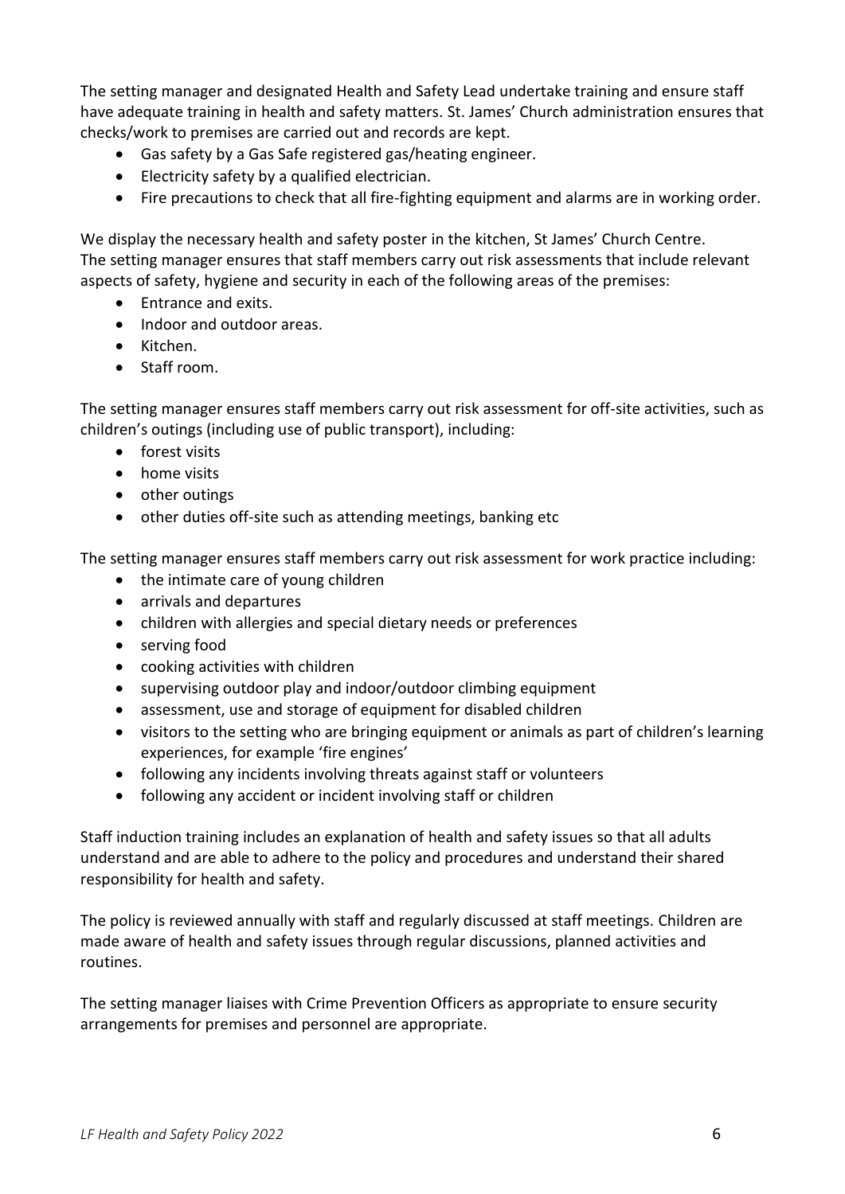The setting manager and designated Health and Safety Lead undertake training and ensure staff have adequate training in health and safety matters. St. James' Church administration ensures that checks/work to premises are carried out and records are kept.

- Gas safety by a Gas Safe registered gas/heating engineer.
- Electricity safety by a qualified electrician.
- Fire precautions to check that all fire-fighting equipment and alarms are in working order.

We display the necessary health and safety poster in the kitchen, St James' Church Centre. The setting manager ensures that staff members carry out risk assessments that include relevant aspects of safety, hygiene and security in each of the following areas of the premises:

- Entrance and exits.
- Indoor and outdoor areas.
- Kitchen.
- Staff room.

The setting manager ensures staff members carry out risk assessment for off-site activities, such as children's outings (including use of public transport), including:

- forest visits
- home visits
- other outings
- other duties off-site such as attending meetings, banking etc

The setting manager ensures staff members carry out risk assessment for work practice including:

- the intimate care of young children
- arrivals and departures
- children with allergies and special dietary needs or preferences
- serving food
- cooking activities with children
- supervising outdoor play and indoor/outdoor climbing equipment
- assessment, use and storage of equipment for disabled children
- visitors to the setting who are bringing equipment or animals as part of children's learning experiences, for example 'fire engines'
- following any incidents involving threats against staff or volunteers
- following any accident or incident involving staff or children

Staff induction training includes an explanation of health and safety issues so that all adults understand and are able to adhere to the policy and procedures and understand their shared responsibility for health and safety.

The policy is reviewed annually with staff and regularly discussed at staff meetings. Children are made aware of health and safety issues through regular discussions, planned activities and routines.

<span id="page-5-0"></span>The setting manager liaises with Crime Prevention Officers as appropriate to ensure security arrangements for premises and personnel are appropriate.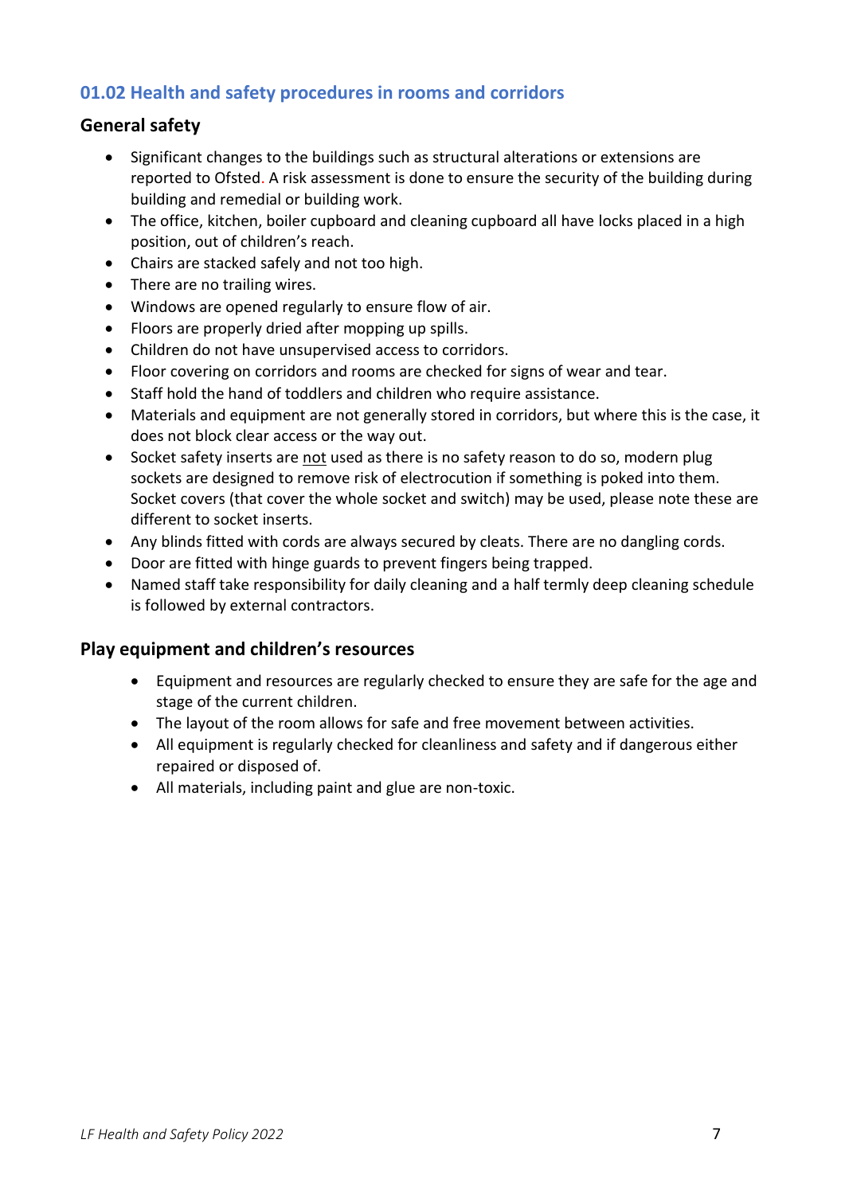### **01.02 Health and safety procedures in rooms and corridors**

#### <span id="page-6-0"></span>**General safety**

- Significant changes to the buildings such as structural alterations or extensions are reported to Ofsted. A risk assessment is done to ensure the security of the building during building and remedial or building work.
- The office, kitchen, boiler cupboard and cleaning cupboard all have locks placed in a high position, out of children's reach.
- Chairs are stacked safely and not too high.
- There are no trailing wires.
- Windows are opened regularly to ensure flow of air.
- Floors are properly dried after mopping up spills.
- Children do not have unsupervised access to corridors.
- Floor covering on corridors and rooms are checked for signs of wear and tear.
- Staff hold the hand of toddlers and children who require assistance.
- Materials and equipment are not generally stored in corridors, but where this is the case, it does not block clear access or the way out.
- Socket safety inserts are not used as there is no safety reason to do so, modern plug sockets are designed to remove risk of electrocution if something is poked into them. Socket covers (that cover the whole socket and switch) may be used, please note these are different to socket inserts.
- Any blinds fitted with cords are always secured by cleats. There are no dangling cords.
- Door are fitted with hinge guards to prevent fingers being trapped.
- Named staff take responsibility for daily cleaning and a half termly deep cleaning schedule is followed by external contractors.

#### <span id="page-6-1"></span>**Play equipment and children's resources**

- Equipment and resources are regularly checked to ensure they are safe for the age and stage of the current children.
- The layout of the room allows for safe and free movement between activities.
- All equipment is regularly checked for cleanliness and safety and if dangerous either repaired or disposed of.
- All materials, including paint and glue are non-toxic.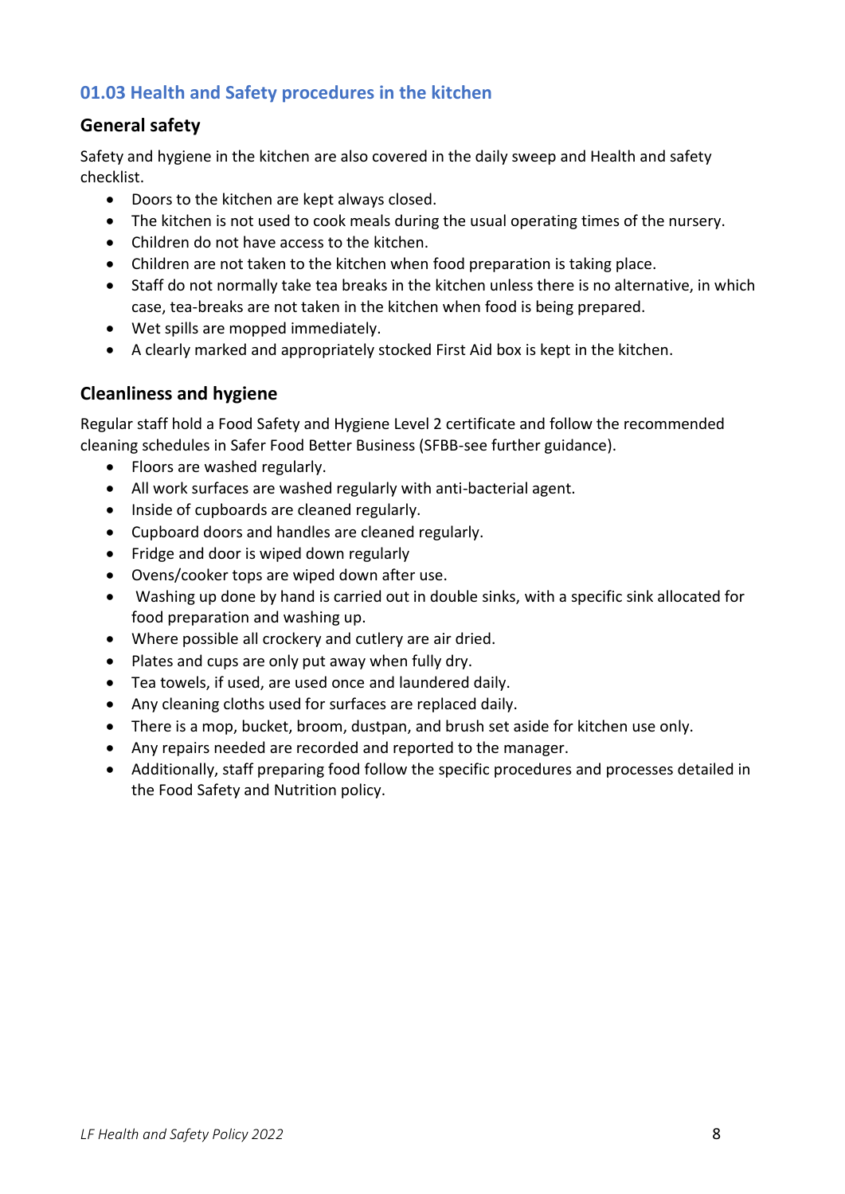# <span id="page-7-0"></span>**01.03 Health and Safety procedures in the kitchen**

### <span id="page-7-1"></span>**General safety**

Safety and hygiene in the kitchen are also covered in the daily sweep and Health and safety checklist.

- Doors to the kitchen are kept always closed.
- The kitchen is not used to cook meals during the usual operating times of the nursery.
- Children do not have access to the kitchen.
- Children are not taken to the kitchen when food preparation is taking place.
- Staff do not normally take tea breaks in the kitchen unless there is no alternative, in which case, tea-breaks are not taken in the kitchen when food is being prepared.
- Wet spills are mopped immediately.
- A clearly marked and appropriately stocked First Aid box is kept in the kitchen.

### <span id="page-7-2"></span>**Cleanliness and hygiene**

Regular staff hold a Food Safety and Hygiene Level 2 certificate and follow the recommended cleaning schedules in Safer Food Better Business (SFBB-see further guidance).

- Floors are washed regularly.
- All work surfaces are washed regularly with anti-bacterial agent.
- Inside of cupboards are cleaned regularly.
- Cupboard doors and handles are cleaned regularly.
- Fridge and door is wiped down regularly
- Ovens/cooker tops are wiped down after use.
- Washing up done by hand is carried out in double sinks, with a specific sink allocated for food preparation and washing up.
- Where possible all crockery and cutlery are air dried.
- Plates and cups are only put away when fully dry.
- Tea towels, if used, are used once and laundered daily.
- Any cleaning cloths used for surfaces are replaced daily.
- There is a mop, bucket, broom, dustpan, and brush set aside for kitchen use only.
- Any repairs needed are recorded and reported to the manager.
- Additionally, staff preparing food follow the specific procedures and processes detailed in the Food Safety and Nutrition policy.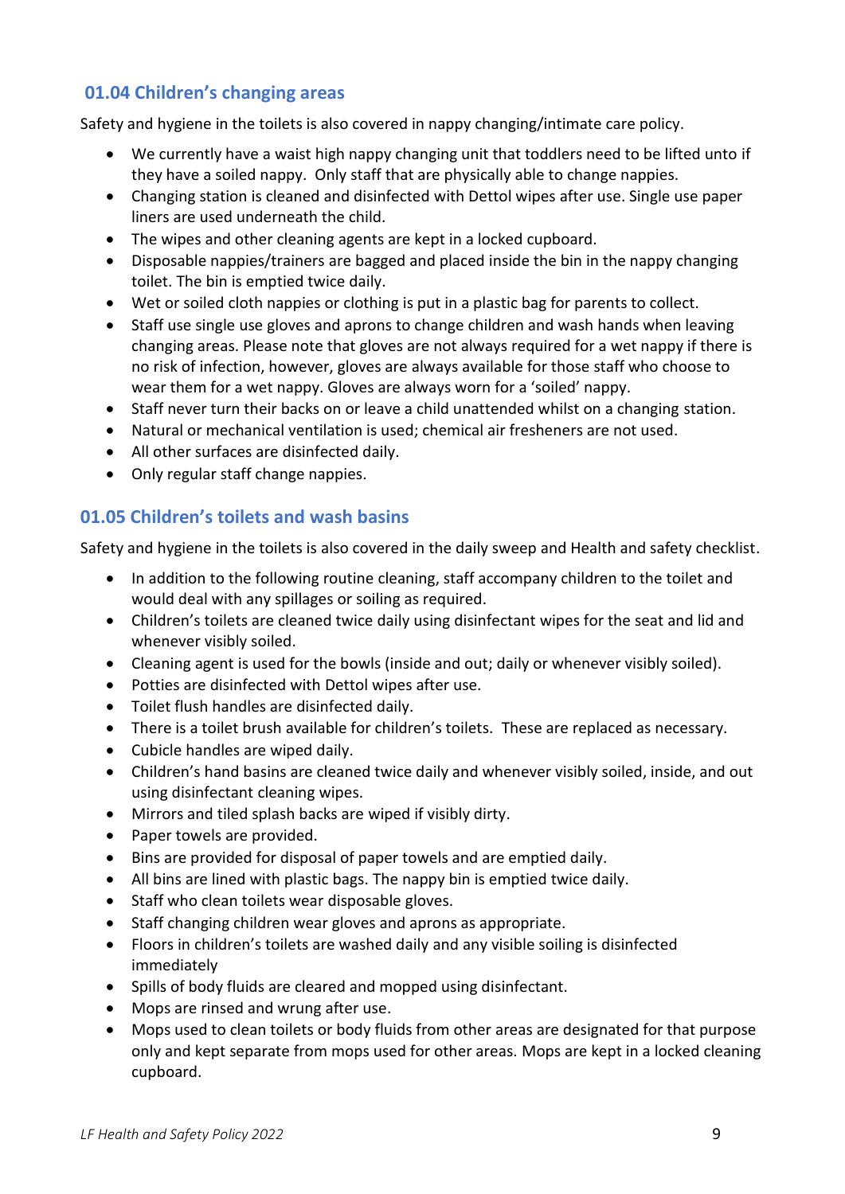### <span id="page-8-0"></span>**01.04 Children's changing areas**

Safety and hygiene in the toilets is also covered in nappy changing/intimate care policy.

- We currently have a waist high nappy changing unit that toddlers need to be lifted unto if they have a soiled nappy. Only staff that are physically able to change nappies.
- Changing station is cleaned and disinfected with Dettol wipes after use. Single use paper liners are used underneath the child.
- The wipes and other cleaning agents are kept in a locked cupboard.
- Disposable nappies/trainers are bagged and placed inside the bin in the nappy changing toilet. The bin is emptied twice daily.
- Wet or soiled cloth nappies or clothing is put in a plastic bag for parents to collect.
- Staff use single use gloves and aprons to change children and wash hands when leaving changing areas. Please note that gloves are not always required for a wet nappy if there is no risk of infection, however, gloves are always available for those staff who choose to wear them for a wet nappy. Gloves are always worn for a 'soiled' nappy.
- Staff never turn their backs on or leave a child unattended whilst on a changing station.
- Natural or mechanical ventilation is used; chemical air fresheners are not used.
- All other surfaces are disinfected daily.
- Only regular staff change nappies.

### <span id="page-8-1"></span>**01.05 Children's toilets and wash basins**

Safety and hygiene in the toilets is also covered in the daily sweep and Health and safety checklist.

- In addition to the following routine cleaning, staff accompany children to the toilet and would deal with any spillages or soiling as required.
- Children's toilets are cleaned twice daily using disinfectant wipes for the seat and lid and whenever visibly soiled.
- Cleaning agent is used for the bowls (inside and out; daily or whenever visibly soiled).
- Potties are disinfected with Dettol wipes after use.
- Toilet flush handles are disinfected daily.
- There is a toilet brush available for children's toilets. These are replaced as necessary.
- Cubicle handles are wiped daily.
- Children's hand basins are cleaned twice daily and whenever visibly soiled, inside, and out using disinfectant cleaning wipes.
- Mirrors and tiled splash backs are wiped if visibly dirty.
- Paper towels are provided.
- Bins are provided for disposal of paper towels and are emptied daily.
- All bins are lined with plastic bags. The nappy bin is emptied twice daily.
- Staff who clean toilets wear disposable gloves.
- Staff changing children wear gloves and aprons as appropriate.
- Floors in children's toilets are washed daily and any visible soiling is disinfected immediately
- Spills of body fluids are cleared and mopped using disinfectant.
- Mops are rinsed and wrung after use.
- Mops used to clean toilets or body fluids from other areas are designated for that purpose only and kept separate from mops used for other areas. Mops are kept in a locked cleaning cupboard.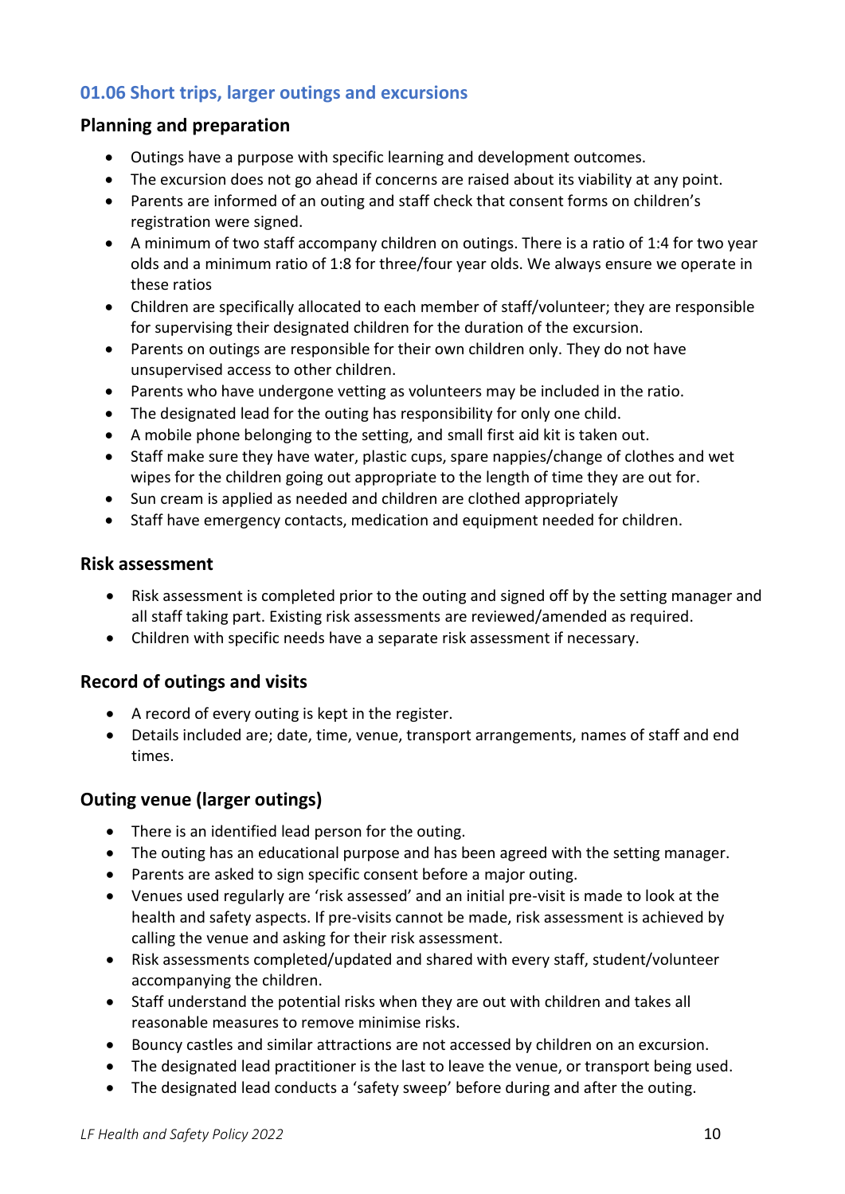# <span id="page-9-0"></span>**01.06 Short trips, larger outings and excursions**

### <span id="page-9-1"></span>**Planning and preparation**

- Outings have a purpose with specific learning and development outcomes.
- The excursion does not go ahead if concerns are raised about its viability at any point.
- Parents are informed of an outing and staff check that consent forms on children's registration were signed.
- A minimum of two staff accompany children on outings. There is a ratio of 1:4 for two year olds and a minimum ratio of 1:8 for three/four year olds. We always ensure we operate in these ratios
- Children are specifically allocated to each member of staff/volunteer; they are responsible for supervising their designated children for the duration of the excursion.
- Parents on outings are responsible for their own children only. They do not have unsupervised access to other children.
- Parents who have undergone vetting as volunteers may be included in the ratio.
- The designated lead for the outing has responsibility for only one child.
- A mobile phone belonging to the setting, and small first aid kit is taken out.
- Staff make sure they have water, plastic cups, spare nappies/change of clothes and wet wipes for the children going out appropriate to the length of time they are out for.
- Sun cream is applied as needed and children are clothed appropriately
- Staff have emergency contacts, medication and equipment needed for children.

#### <span id="page-9-2"></span>**Risk assessment**

- Risk assessment is completed prior to the outing and signed off by the setting manager and all staff taking part. Existing risk assessments are reviewed/amended as required.
- Children with specific needs have a separate risk assessment if necessary.

### <span id="page-9-3"></span>**Record of outings and visits**

- A record of every outing is kept in the register.
- Details included are; date, time, venue, transport arrangements, names of staff and end times.

### <span id="page-9-4"></span>**Outing venue (larger outings)**

- There is an identified lead person for the outing.
- The outing has an educational purpose and has been agreed with the setting manager.
- Parents are asked to sign specific consent before a major outing.
- Venues used regularly are 'risk assessed' and an initial pre-visit is made to look at the health and safety aspects. If pre-visits cannot be made, risk assessment is achieved by calling the venue and asking for their risk assessment.
- Risk assessments completed/updated and shared with every staff, student/volunteer accompanying the children.
- Staff understand the potential risks when they are out with children and takes all reasonable measures to remove minimise risks.
- Bouncy castles and similar attractions are not accessed by children on an excursion.
- The designated lead practitioner is the last to leave the venue, or transport being used.
- The designated lead conducts a 'safety sweep' before during and after the outing.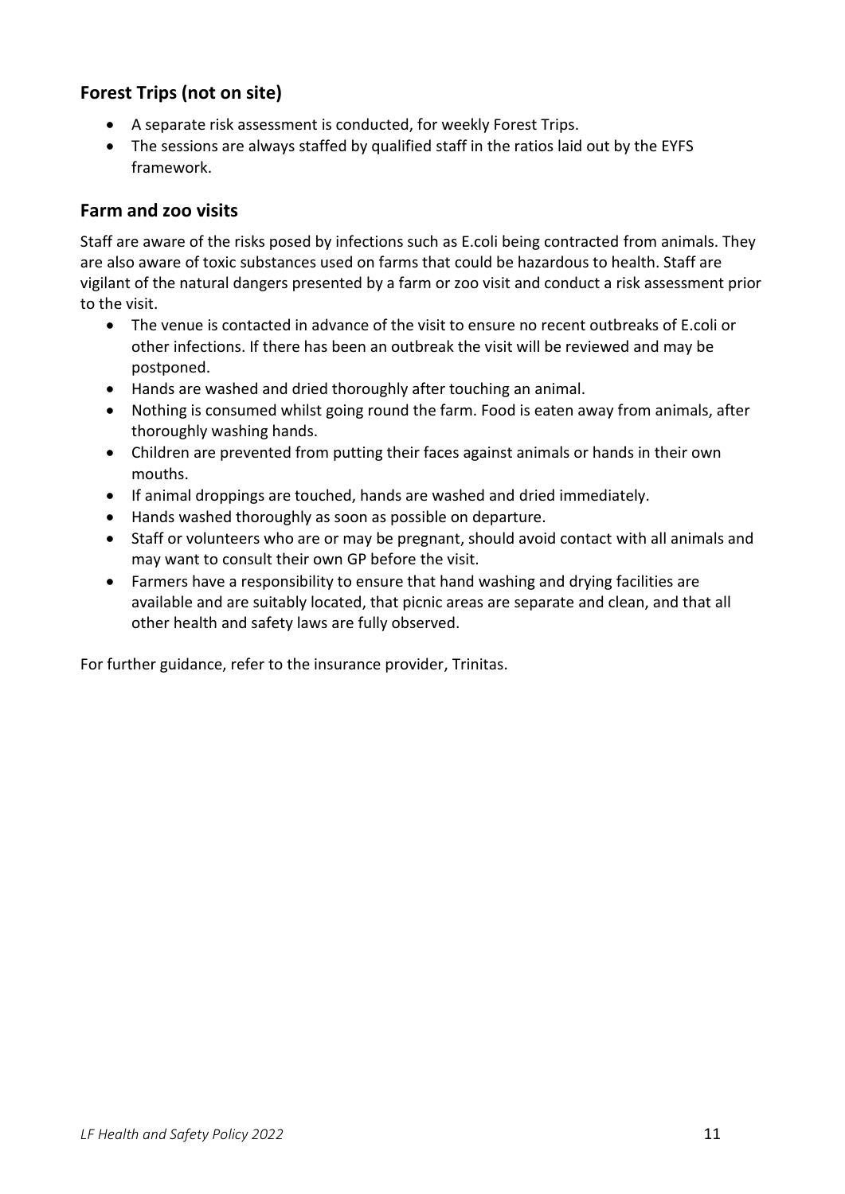# <span id="page-10-0"></span>**Forest Trips (not on site)**

- A separate risk assessment is conducted, for weekly Forest Trips.
- The sessions are always staffed by qualified staff in the ratios laid out by the EYFS framework.

### <span id="page-10-1"></span>**Farm and zoo visits**

Staff are aware of the risks posed by infections such as E.coli being contracted from animals. They are also aware of toxic substances used on farms that could be hazardous to health. Staff are vigilant of the natural dangers presented by a farm or zoo visit and conduct a risk assessment prior to the visit.

- The venue is contacted in advance of the visit to ensure no recent outbreaks of E.coli or other infections. If there has been an outbreak the visit will be reviewed and may be postponed.
- Hands are washed and dried thoroughly after touching an animal.
- Nothing is consumed whilst going round the farm. Food is eaten away from animals, after thoroughly washing hands.
- Children are prevented from putting their faces against animals or hands in their own mouths.
- If animal droppings are touched, hands are washed and dried immediately.
- Hands washed thoroughly as soon as possible on departure.
- Staff or volunteers who are or may be pregnant, should avoid contact with all animals and may want to consult their own GP before the visit.
- Farmers have a responsibility to ensure that hand washing and drying facilities are available and are suitably located, that picnic areas are separate and clean, and that all other health and safety laws are fully observed.

For further guidance, refer to the insurance provider, Trinitas.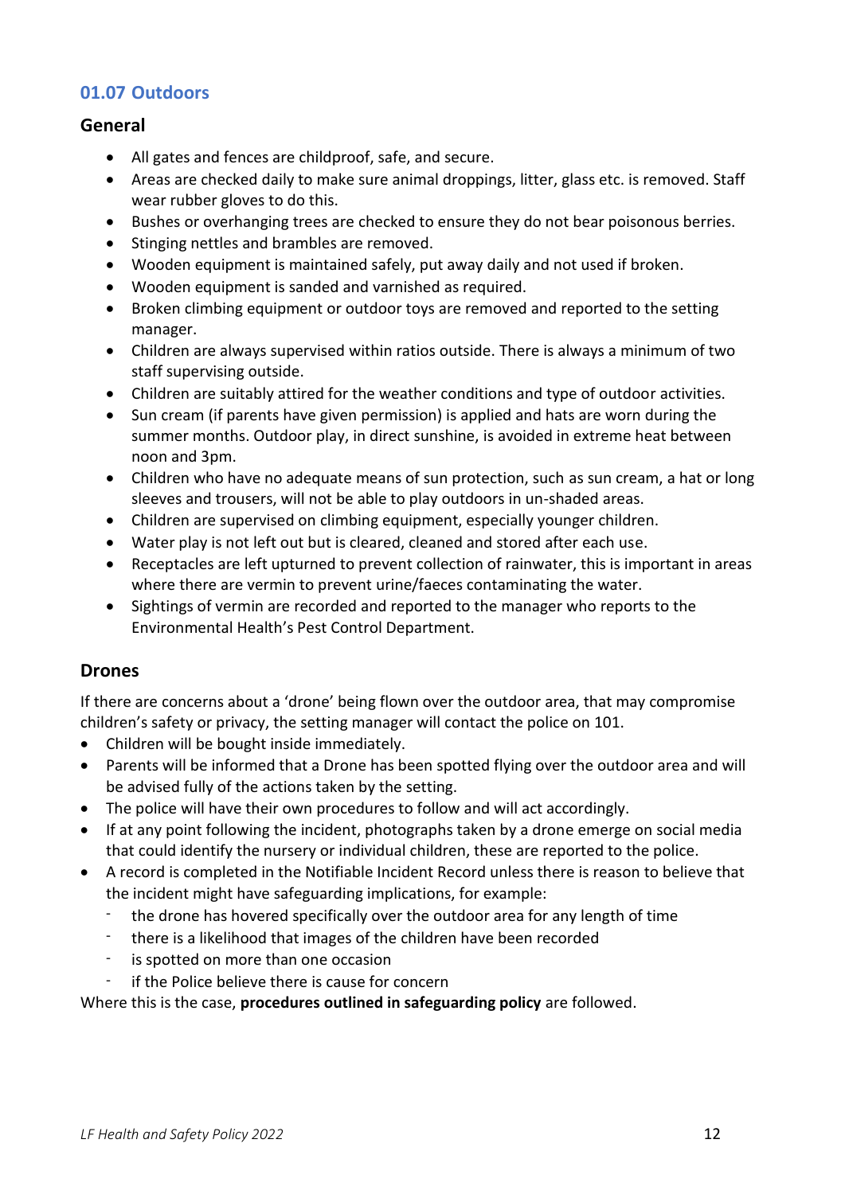### <span id="page-11-0"></span>**01.07 Outdoors**

#### <span id="page-11-1"></span>**General**

- All gates and fences are childproof, safe, and secure.
- Areas are checked daily to make sure animal droppings, litter, glass etc. is removed. Staff wear rubber gloves to do this.
- Bushes or overhanging trees are checked to ensure they do not bear poisonous berries.
- Stinging nettles and brambles are removed.
- Wooden equipment is maintained safely, put away daily and not used if broken.
- Wooden equipment is sanded and varnished as required.
- Broken climbing equipment or outdoor toys are removed and reported to the setting manager.
- Children are always supervised within ratios outside. There is always a minimum of two staff supervising outside.
- Children are suitably attired for the weather conditions and type of outdoor activities.
- Sun cream (if parents have given permission) is applied and hats are worn during the summer months. Outdoor play, in direct sunshine, is avoided in extreme heat between noon and 3pm.
- Children who have no adequate means of sun protection, such as sun cream, a hat or long sleeves and trousers, will not be able to play outdoors in un-shaded areas.
- Children are supervised on climbing equipment, especially younger children.
- Water play is not left out but is cleared, cleaned and stored after each use.
- Receptacles are left upturned to prevent collection of rainwater, this is important in areas where there are vermin to prevent urine/faeces contaminating the water.
- Sightings of vermin are recorded and reported to the manager who reports to the Environmental Health's Pest Control Department.

#### <span id="page-11-2"></span>**Drones**

If there are concerns about a 'drone' being flown over the outdoor area, that may compromise children's safety or privacy, the setting manager will contact the police on 101.

- Children will be bought inside immediately.
- Parents will be informed that a Drone has been spotted flying over the outdoor area and will be advised fully of the actions taken by the setting.
- The police will have their own procedures to follow and will act accordingly.
- If at any point following the incident, photographs taken by a drone emerge on social media that could identify the nursery or individual children, these are reported to the police.
- A record is completed in the Notifiable Incident Record unless there is reason to believe that the incident might have safeguarding implications, for example:
	- the drone has hovered specifically over the outdoor area for any length of time
	- there is a likelihood that images of the children have been recorded
	- is spotted on more than one occasion
	- if the Police believe there is cause for concern

Where this is the case, **procedures outlined in safeguarding policy** are followed.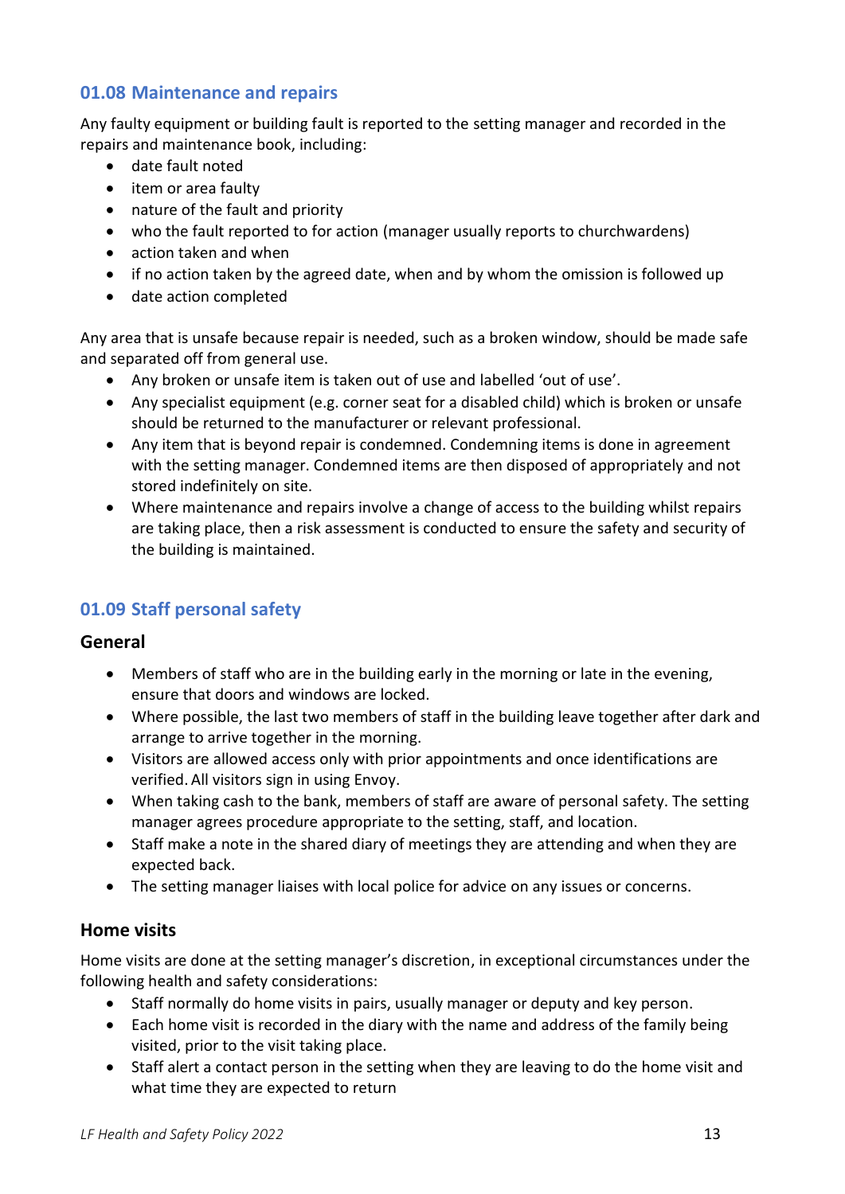### <span id="page-12-0"></span>**01.08 Maintenance and repairs**

Any faulty equipment or building fault is reported to the setting manager and recorded in the repairs and maintenance book, including:

- date fault noted
- item or area faulty
- nature of the fault and priority
- who the fault reported to for action (manager usually reports to churchwardens)
- action taken and when
- if no action taken by the agreed date, when and by whom the omission is followed up
- date action completed

Any area that is unsafe because repair is needed, such as a broken window, should be made safe and separated off from general use.

- Any broken or unsafe item is taken out of use and labelled 'out of use'.
- Any specialist equipment (e.g. corner seat for a disabled child) which is broken or unsafe should be returned to the manufacturer or relevant professional.
- Any item that is beyond repair is condemned. Condemning items is done in agreement with the setting manager. Condemned items are then disposed of appropriately and not stored indefinitely on site.
- Where maintenance and repairs involve a change of access to the building whilst repairs are taking place, then a risk assessment is conducted to ensure the safety and security of the building is maintained.

# <span id="page-12-1"></span>**01.09 Staff personal safety**

### <span id="page-12-2"></span>**General**

- Members of staff who are in the building early in the morning or late in the evening, ensure that doors and windows are locked.
- Where possible, the last two members of staff in the building leave together after dark and arrange to arrive together in the morning.
- Visitors are allowed access only with prior appointments and once identifications are verified. All visitors sign in using Envoy.
- When taking cash to the bank, members of staff are aware of personal safety. The setting manager agrees procedure appropriate to the setting, staff, and location.
- Staff make a note in the shared diary of meetings they are attending and when they are expected back.
- The setting manager liaises with local police for advice on any issues or concerns.

### <span id="page-12-3"></span>**Home visits**

Home visits are done at the setting manager's discretion, in exceptional circumstances under the following health and safety considerations:

- Staff normally do home visits in pairs, usually manager or deputy and key person.
- Each home visit is recorded in the diary with the name and address of the family being visited, prior to the visit taking place.
- Staff alert a contact person in the setting when they are leaving to do the home visit and what time they are expected to return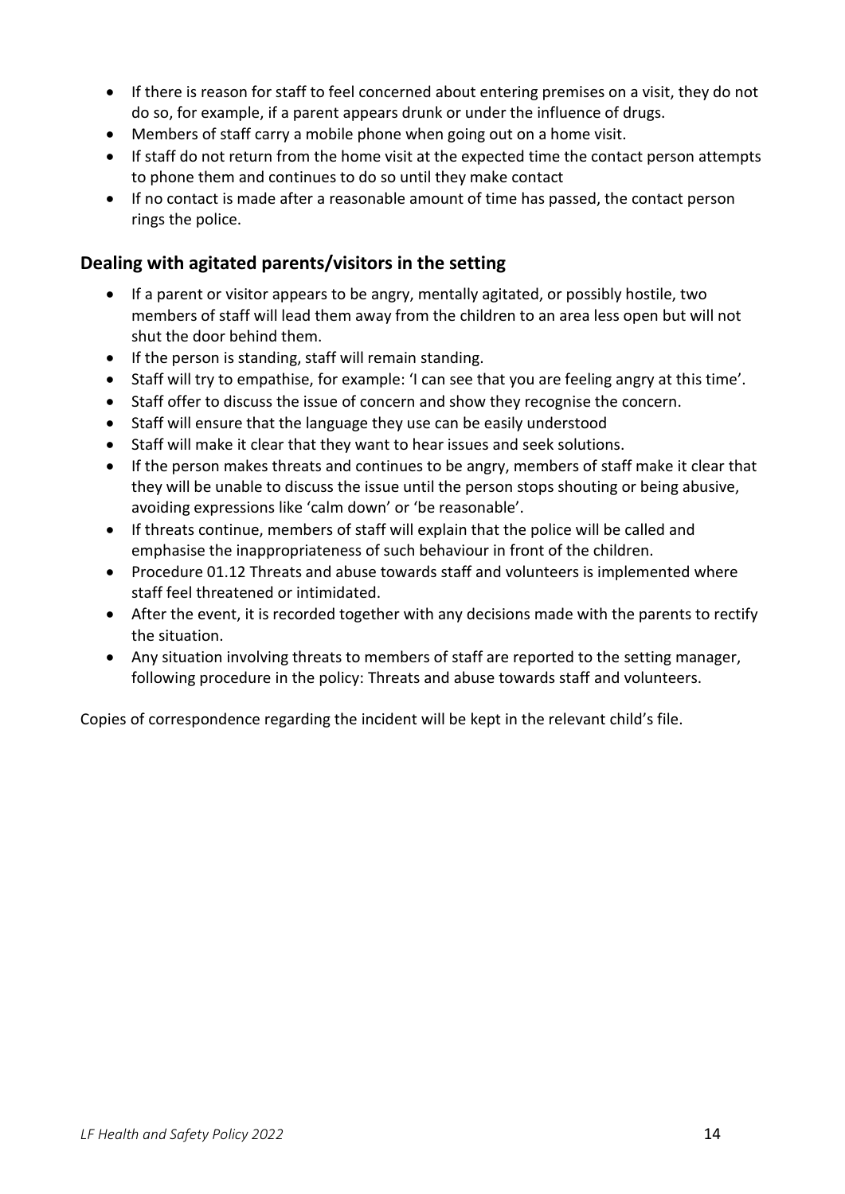- If there is reason for staff to feel concerned about entering premises on a visit, they do not do so, for example, if a parent appears drunk or under the influence of drugs.
- Members of staff carry a mobile phone when going out on a home visit.
- If staff do not return from the home visit at the expected time the contact person attempts to phone them and continues to do so until they make contact
- If no contact is made after a reasonable amount of time has passed, the contact person rings the police.

### <span id="page-13-0"></span>**Dealing with agitated parents/visitors in the setting**

- If a parent or visitor appears to be angry, mentally agitated, or possibly hostile, two members of staff will lead them away from the children to an area less open but will not shut the door behind them.
- If the person is standing, staff will remain standing.
- Staff will try to empathise, for example: 'I can see that you are feeling angry at this time'.
- Staff offer to discuss the issue of concern and show they recognise the concern.
- Staff will ensure that the language they use can be easily understood
- Staff will make it clear that they want to hear issues and seek solutions.
- If the person makes threats and continues to be angry, members of staff make it clear that they will be unable to discuss the issue until the person stops shouting or being abusive, avoiding expressions like 'calm down' or 'be reasonable'.
- If threats continue, members of staff will explain that the police will be called and emphasise the inappropriateness of such behaviour in front of the children.
- Procedure 01.12 Threats and abuse towards staff and volunteers is implemented where staff feel threatened or intimidated.
- After the event, it is recorded together with any decisions made with the parents to rectify the situation.
- Any situation involving threats to members of staff are reported to the setting manager, following procedure in the policy: Threats and abuse towards staff and volunteers.

Copies of correspondence regarding the incident will be kept in the relevant child's file.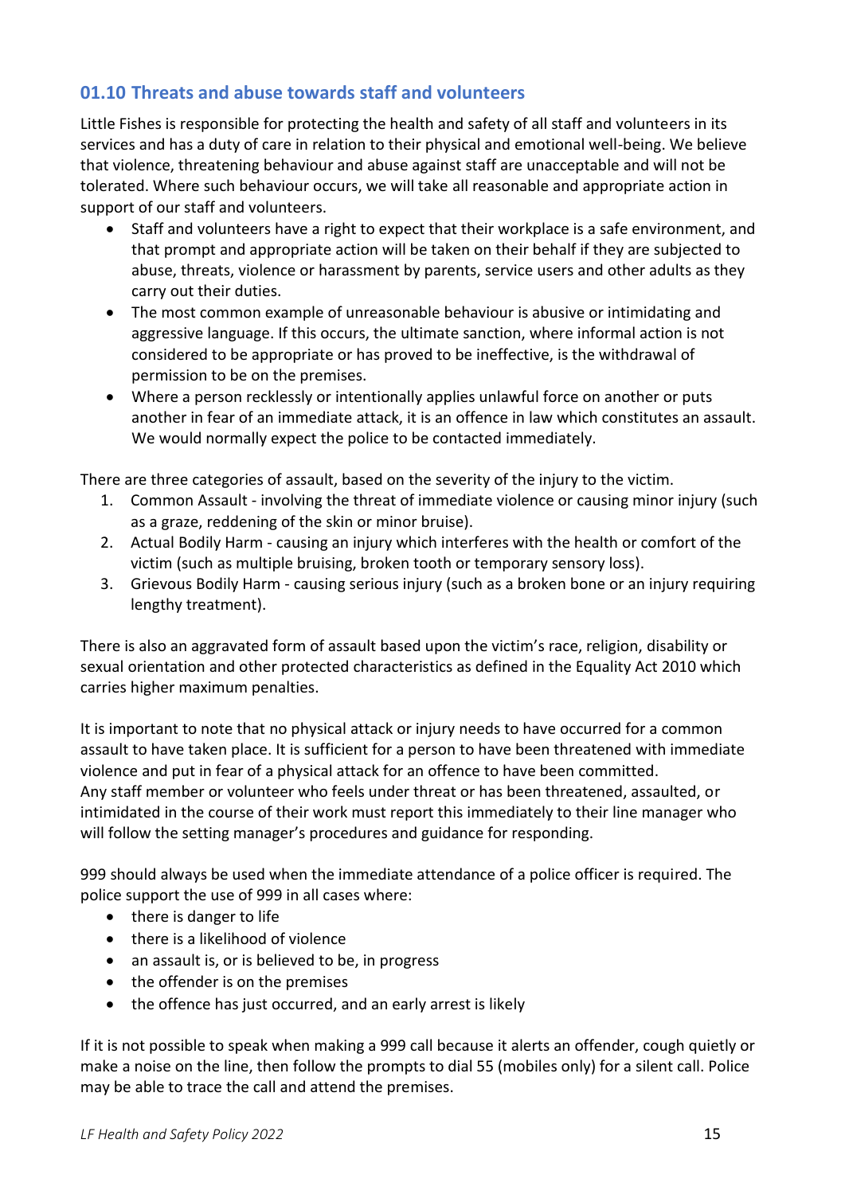## <span id="page-14-0"></span>**01.10 Threats and abuse towards staff and volunteers**

Little Fishes is responsible for protecting the health and safety of all staff and volunteers in its services and has a duty of care in relation to their physical and emotional well-being. We believe that violence, threatening behaviour and abuse against staff are unacceptable and will not be tolerated. Where such behaviour occurs, we will take all reasonable and appropriate action in support of our staff and volunteers.

- Staff and volunteers have a right to expect that their workplace is a safe environment, and that prompt and appropriate action will be taken on their behalf if they are subjected to abuse, threats, violence or harassment by parents, service users and other adults as they carry out their duties.
- The most common example of unreasonable behaviour is abusive or intimidating and aggressive language. If this occurs, the ultimate sanction, where informal action is not considered to be appropriate or has proved to be ineffective, is the withdrawal of permission to be on the premises.
- Where a person recklessly or intentionally applies unlawful force on another or puts another in fear of an immediate attack, it is an offence in law which constitutes an assault. We would normally expect the police to be contacted immediately.

There are three categories of assault, based on the severity of the injury to the victim.

- 1. Common Assault involving the threat of immediate violence or causing minor injury (such as a graze, reddening of the skin or minor bruise).
- 2. Actual Bodily Harm causing an injury which interferes with the health or comfort of the victim (such as multiple bruising, broken tooth or temporary sensory loss).
- 3. Grievous Bodily Harm causing serious injury (such as a broken bone or an injury requiring lengthy treatment).

There is also an aggravated form of assault based upon the victim's race, religion, disability or sexual orientation and other protected characteristics as defined in the Equality Act 2010 which carries higher maximum penalties.

It is important to note that no physical attack or injury needs to have occurred for a common assault to have taken place. It is sufficient for a person to have been threatened with immediate violence and put in fear of a physical attack for an offence to have been committed. Any staff member or volunteer who feels under threat or has been threatened, assaulted, or intimidated in the course of their work must report this immediately to their line manager who will follow the setting manager's procedures and guidance for responding.

999 should always be used when the immediate attendance of a police officer is required. The police support the use of 999 in all cases where:

- there is danger to life
- there is a likelihood of violence
- an assault is, or is believed to be, in progress
- the offender is on the premises
- the offence has just occurred, and an early arrest is likely

If it is not possible to speak when making a 999 call because it alerts an offender, cough quietly or make a noise on the line, then follow the prompts to dial 55 (mobiles only) for a silent call. Police may be able to trace the call and attend the premises.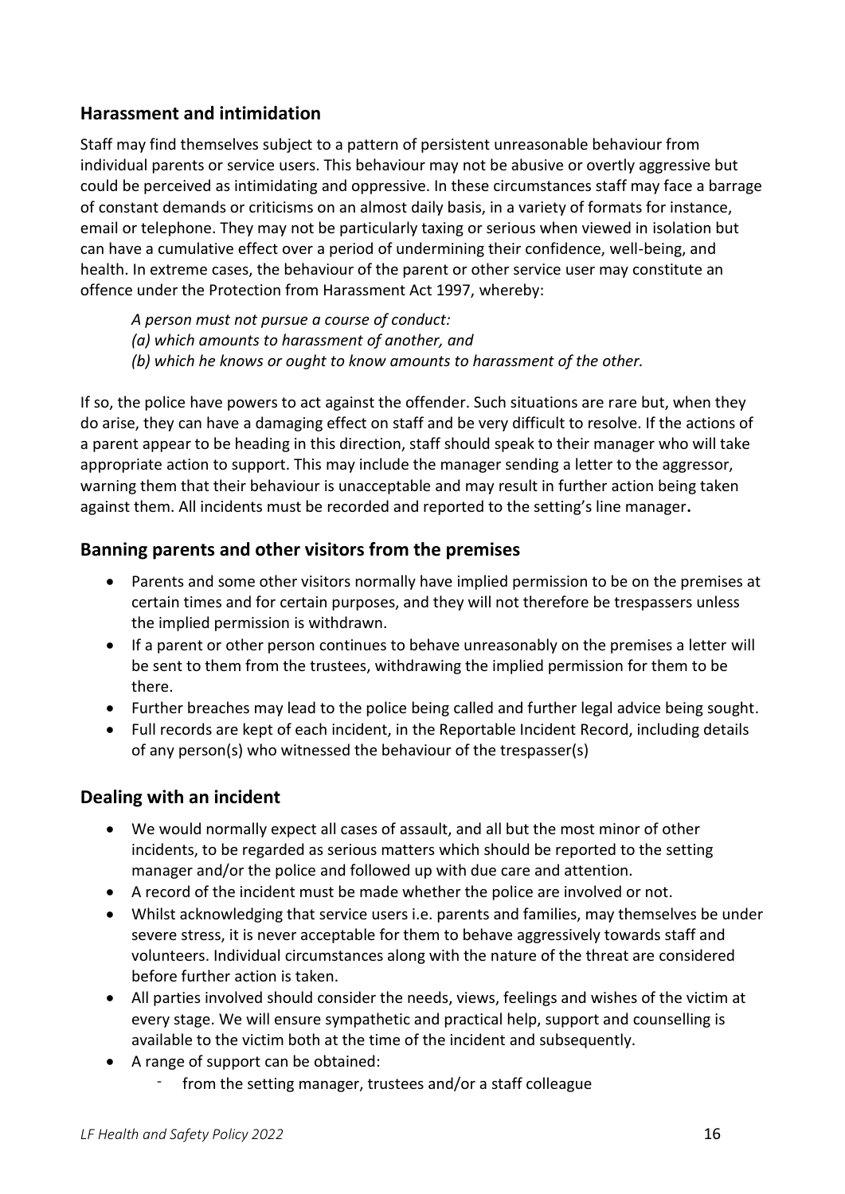### <span id="page-15-0"></span>**Harassment and intimidation**

Staff may find themselves subject to a pattern of persistent unreasonable behaviour from individual parents or service users. This behaviour may not be abusive or overtly aggressive but could be perceived as intimidating and oppressive. In these circumstances staff may face a barrage of constant demands or criticisms on an almost daily basis, in a variety of formats for instance, email or telephone. They may not be particularly taxing or serious when viewed in isolation but can have a cumulative effect over a period of undermining their confidence, well-being, and health. In extreme cases, the behaviour of the parent or other service user may constitute an offence under the Protection from Harassment Act 1997, whereby:

- *A person must not pursue a course of conduct:*
- *(a) which amounts to harassment of another, and*
- *(b) which he knows or ought to know amounts to harassment of the other.*

If so, the police have powers to act against the offender. Such situations are rare but, when they do arise, they can have a damaging effect on staff and be very difficult to resolve. If the actions of a parent appear to be heading in this direction, staff should speak to their manager who will take appropriate action to support. This may include the manager sending a letter to the aggressor, warning them that their behaviour is unacceptable and may result in further action being taken against them. All incidents must be recorded and reported to the setting's line manager**.**

### <span id="page-15-1"></span>**Banning parents and other visitors from the premises**

- Parents and some other visitors normally have implied permission to be on the premises at certain times and for certain purposes, and they will not therefore be trespassers unless the implied permission is withdrawn.
- If a parent or other person continues to behave unreasonably on the premises a letter will be sent to them from the trustees, withdrawing the implied permission for them to be there.
- Further breaches may lead to the police being called and further legal advice being sought.
- Full records are kept of each incident, in the Reportable Incident Record, including details of any person(s) who witnessed the behaviour of the trespasser(s)

#### <span id="page-15-2"></span>**Dealing with an incident**

- We would normally expect all cases of assault, and all but the most minor of other incidents, to be regarded as serious matters which should be reported to the setting manager and/or the police and followed up with due care and attention.
- A record of the incident must be made whether the police are involved or not.
- Whilst acknowledging that service users i.e. parents and families, may themselves be under severe stress, it is never acceptable for them to behave aggressively towards staff and volunteers. Individual circumstances along with the nature of the threat are considered before further action is taken.
- All parties involved should consider the needs, views, feelings and wishes of the victim at every stage. We will ensure sympathetic and practical help, support and counselling is available to the victim both at the time of the incident and subsequently.
- A range of support can be obtained:
	- from the setting manager, trustees and/or a staff colleague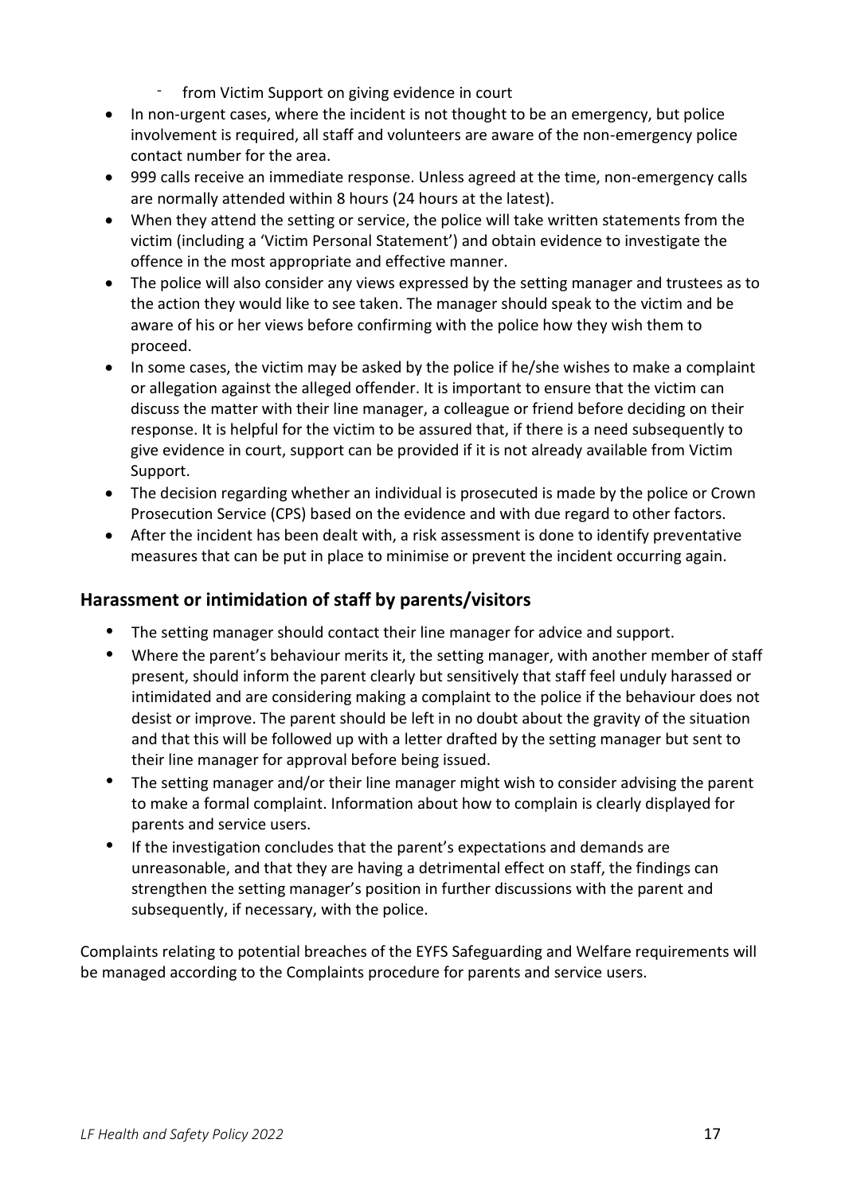- from Victim Support on giving evidence in court
- In non-urgent cases, where the incident is not thought to be an emergency, but police involvement is required, all staff and volunteers are aware of the non-emergency police contact number for the area.
- 999 calls receive an immediate response. Unless agreed at the time, non-emergency calls are normally attended within 8 hours (24 hours at the latest).
- When they attend the setting or service, the police will take written statements from the victim (including a 'Victim Personal Statement') and obtain evidence to investigate the offence in the most appropriate and effective manner.
- The police will also consider any views expressed by the setting manager and trustees as to the action they would like to see taken. The manager should speak to the victim and be aware of his or her views before confirming with the police how they wish them to proceed.
- In some cases, the victim may be asked by the police if he/she wishes to make a complaint or allegation against the alleged offender. It is important to ensure that the victim can discuss the matter with their line manager, a colleague or friend before deciding on their response. It is helpful for the victim to be assured that, if there is a need subsequently to give evidence in court, support can be provided if it is not already available from Victim Support.
- The decision regarding whether an individual is prosecuted is made by the police or Crown Prosecution Service (CPS) based on the evidence and with due regard to other factors.
- After the incident has been dealt with, a risk assessment is done to identify preventative measures that can be put in place to minimise or prevent the incident occurring again.

### <span id="page-16-0"></span>**Harassment or intimidation of staff by parents/visitors**

- The setting manager should contact their line manager for advice and support.
- Where the parent's behaviour merits it, the setting manager, with another member of staff present, should inform the parent clearly but sensitively that staff feel unduly harassed or intimidated and are considering making a complaint to the police if the behaviour does not desist or improve. The parent should be left in no doubt about the gravity of the situation and that this will be followed up with a letter drafted by the setting manager but sent to their line manager for approval before being issued.
- The setting manager and/or their line manager might wish to consider advising the parent to make a formal complaint. Information about how to complain is clearly displayed for parents and service users.
- If the investigation concludes that the parent's expectations and demands are unreasonable, and that they are having a detrimental effect on staff, the findings can strengthen the setting manager's position in further discussions with the parent and subsequently, if necessary, with the police.

<span id="page-16-1"></span>Complaints relating to potential breaches of the EYFS Safeguarding and Welfare requirements will be managed according to the Complaints procedure for parents and service users.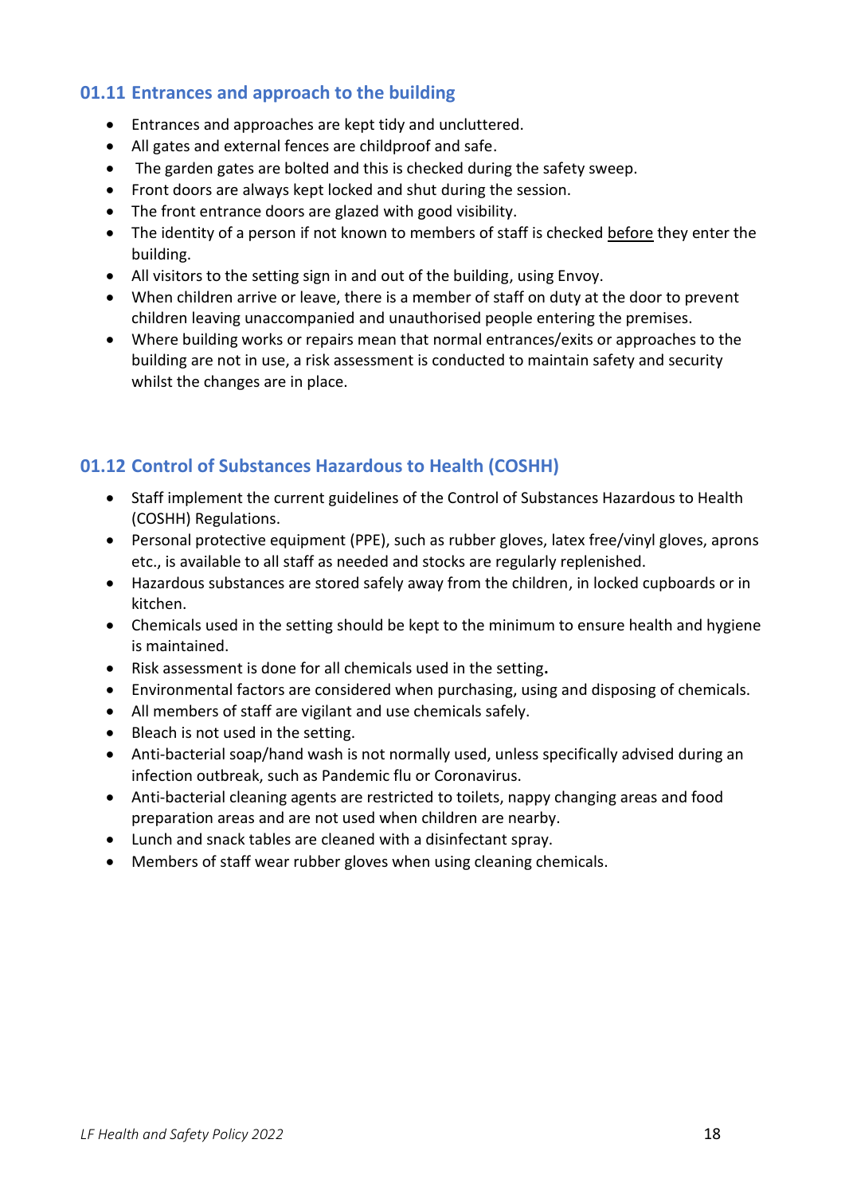### **01.11 Entrances and approach to the building**

- Entrances and approaches are kept tidy and uncluttered.
- All gates and external fences are childproof and safe.
- The garden gates are bolted and this is checked during the safety sweep.
- Front doors are always kept locked and shut during the session.
- The front entrance doors are glazed with good visibility.
- The identity of a person if not known to members of staff is checked before they enter the building.
- All visitors to the setting sign in and out of the building, using Envoy.
- When children arrive or leave, there is a member of staff on duty at the door to prevent children leaving unaccompanied and unauthorised people entering the premises.
- Where building works or repairs mean that normal entrances/exits or approaches to the building are not in use, a risk assessment is conducted to maintain safety and security whilst the changes are in place.

### <span id="page-17-0"></span>**01.12 Control of Substances Hazardous to Health (COSHH)**

- Staff implement the current guidelines of the Control of Substances Hazardous to Health (COSHH) Regulations.
- Personal protective equipment (PPE), such as rubber gloves, latex free/vinyl gloves, aprons etc., is available to all staff as needed and stocks are regularly replenished.
- Hazardous substances are stored safely away from the children, in locked cupboards or in kitchen.
- Chemicals used in the setting should be kept to the minimum to ensure health and hygiene is maintained.
- Risk assessment is done for all chemicals used in the setting**.**
- Environmental factors are considered when purchasing, using and disposing of chemicals.
- All members of staff are vigilant and use chemicals safely.
- Bleach is not used in the setting.
- Anti-bacterial soap/hand wash is not normally used, unless specifically advised during an infection outbreak, such as Pandemic flu or Coronavirus.
- Anti-bacterial cleaning agents are restricted to toilets, nappy changing areas and food preparation areas and are not used when children are nearby.
- Lunch and snack tables are cleaned with a disinfectant spray.
- Members of staff wear rubber gloves when using cleaning chemicals.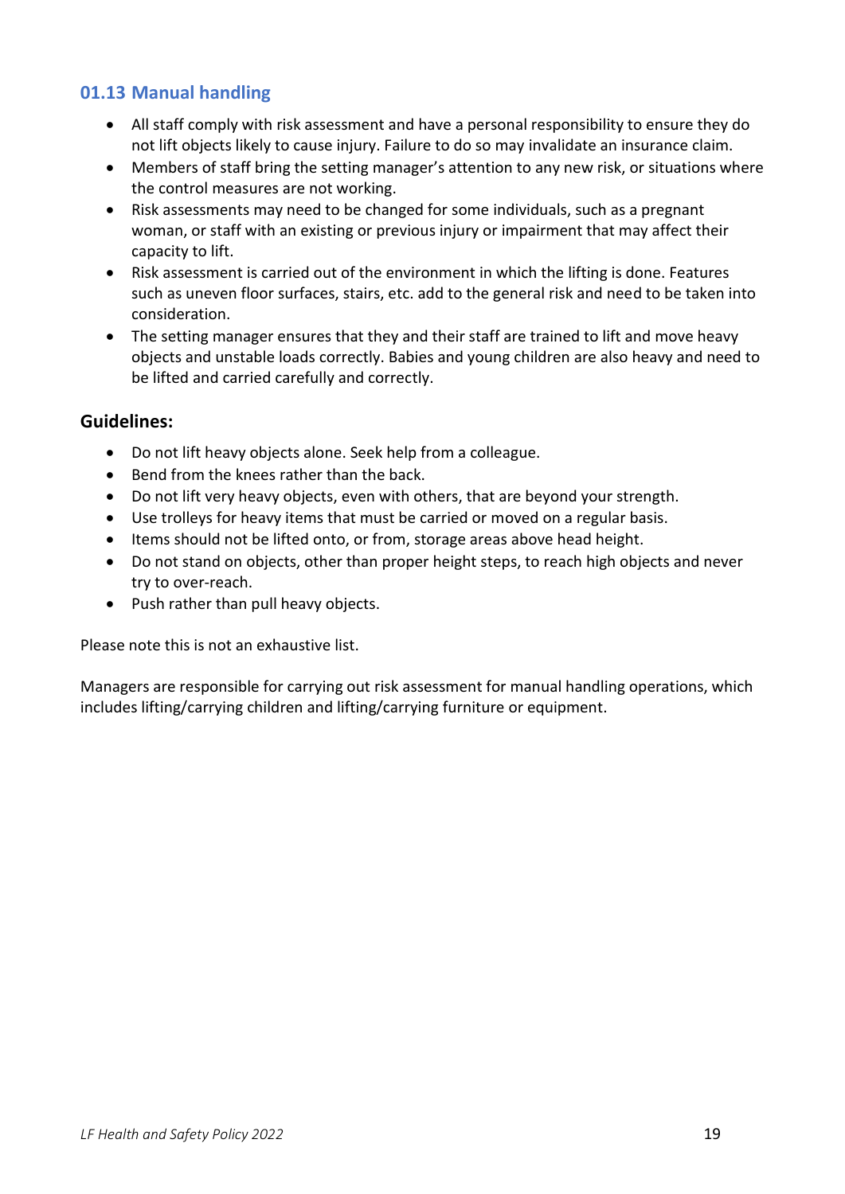### <span id="page-18-0"></span>**01.13 Manual handling**

- All staff comply with risk assessment and have a personal responsibility to ensure they do not lift objects likely to cause injury. Failure to do so may invalidate an insurance claim.
- Members of staff bring the setting manager's attention to any new risk, or situations where the control measures are not working.
- Risk assessments may need to be changed for some individuals, such as a pregnant woman, or staff with an existing or previous injury or impairment that may affect their capacity to lift.
- Risk assessment is carried out of the environment in which the lifting is done. Features such as uneven floor surfaces, stairs, etc. add to the general risk and need to be taken into consideration.
- The setting manager ensures that they and their staff are trained to lift and move heavy objects and unstable loads correctly. Babies and young children are also heavy and need to be lifted and carried carefully and correctly.

### <span id="page-18-1"></span>**Guidelines:**

- Do not lift heavy objects alone. Seek help from a colleague.
- Bend from the knees rather than the back.
- Do not lift very heavy objects, even with others, that are beyond your strength.
- Use trolleys for heavy items that must be carried or moved on a regular basis.
- Items should not be lifted onto, or from, storage areas above head height.
- Do not stand on objects, other than proper height steps, to reach high objects and never try to over-reach.
- Push rather than pull heavy objects.

Please note this is not an exhaustive list.

Managers are responsible for carrying out risk assessment for manual handling operations, which includes lifting/carrying children and lifting/carrying furniture or equipment.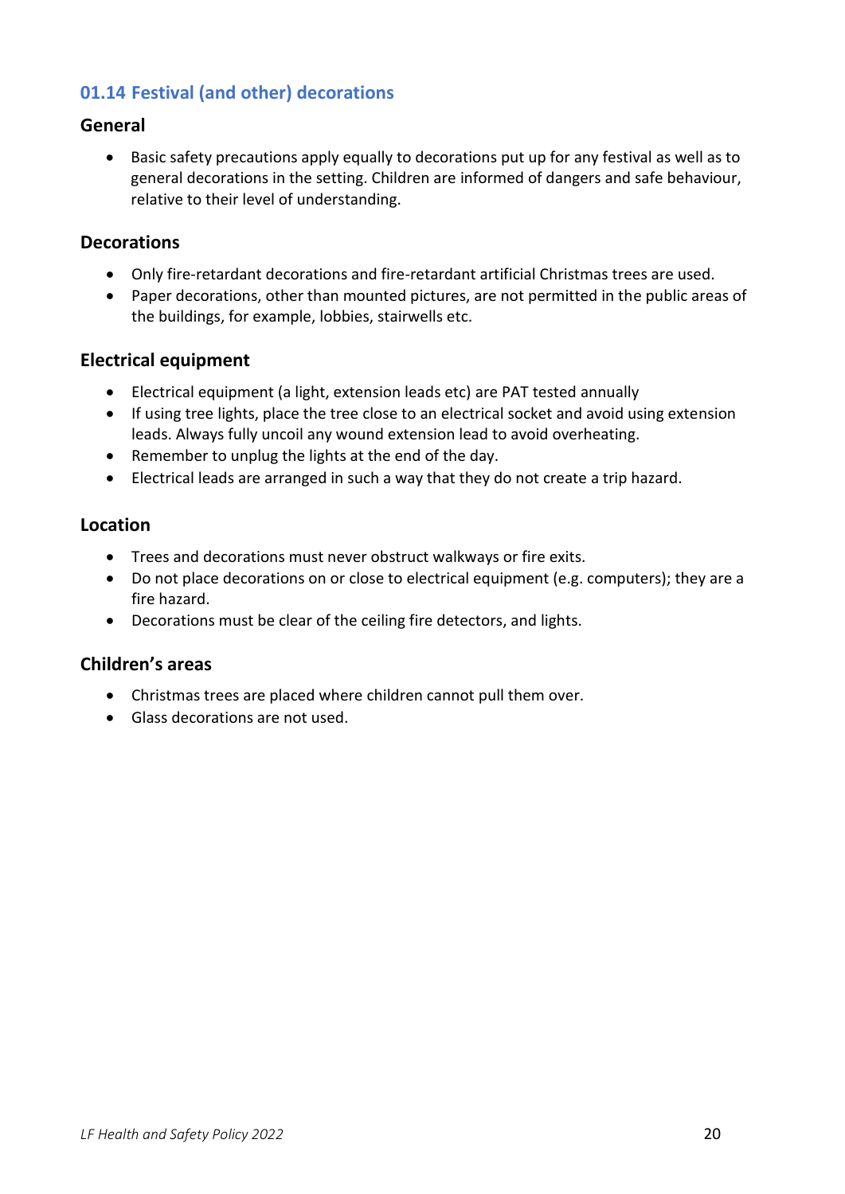# <span id="page-19-0"></span>**01.14 Festival (and other) decorations**

### <span id="page-19-1"></span>**General**

• Basic safety precautions apply equally to decorations put up for any festival as well as to general decorations in the setting. Children are informed of dangers and safe behaviour, relative to their level of understanding.

### <span id="page-19-2"></span>**Decorations**

- Only fire-retardant decorations and fire-retardant artificial Christmas trees are used.
- Paper decorations, other than mounted pictures, are not permitted in the public areas of the buildings, for example, lobbies, stairwells etc.

### <span id="page-19-3"></span>**Electrical equipment**

- Electrical equipment (a light, extension leads etc) are PAT tested annually
- If using tree lights, place the tree close to an electrical socket and avoid using extension leads. Always fully uncoil any wound extension lead to avoid overheating.
- Remember to unplug the lights at the end of the day.
- Electrical leads are arranged in such a way that they do not create a trip hazard.

### <span id="page-19-4"></span>**Location**

- Trees and decorations must never obstruct walkways or fire exits.
- Do not place decorations on or close to electrical equipment (e.g. computers); they are a fire hazard.
- Decorations must be clear of the ceiling fire detectors, and lights.

### <span id="page-19-5"></span>**Children's areas**

- Christmas trees are placed where children cannot pull them over.
- Glass decorations are not used.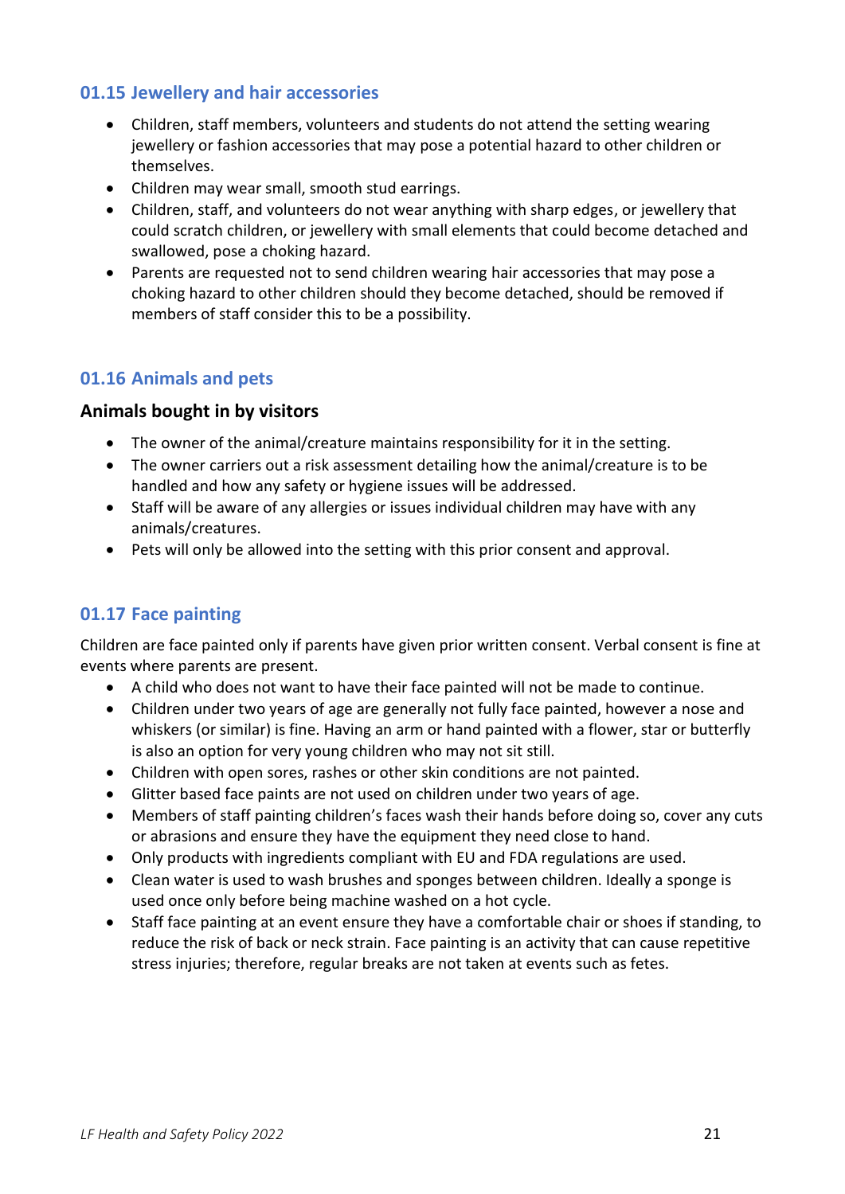#### <span id="page-20-0"></span>**01.15 Jewellery and hair accessories**

- Children, staff members, volunteers and students do not attend the setting wearing jewellery or fashion accessories that may pose a potential hazard to other children or themselves.
- Children may wear small, smooth stud earrings.
- Children, staff, and volunteers do not wear anything with sharp edges, or jewellery that could scratch children, or jewellery with small elements that could become detached and swallowed, pose a choking hazard.
- Parents are requested not to send children wearing hair accessories that may pose a choking hazard to other children should they become detached, should be removed if members of staff consider this to be a possibility.

### <span id="page-20-1"></span>**01.16 Animals and pets**

### <span id="page-20-2"></span>**Animals bought in by visitors**

- The owner of the animal/creature maintains responsibility for it in the setting.
- The owner carriers out a risk assessment detailing how the animal/creature is to be handled and how any safety or hygiene issues will be addressed.
- Staff will be aware of any allergies or issues individual children may have with any animals/creatures.
- Pets will only be allowed into the setting with this prior consent and approval.

### <span id="page-20-3"></span>**01.17 Face painting**

Children are face painted only if parents have given prior written consent. Verbal consent is fine at events where parents are present.

- A child who does not want to have their face painted will not be made to continue.
- Children under two years of age are generally not fully face painted, however a nose and whiskers (or similar) is fine. Having an arm or hand painted with a flower, star or butterfly is also an option for very young children who may not sit still.
- Children with open sores, rashes or other skin conditions are not painted.
- Glitter based face paints are not used on children under two years of age.
- Members of staff painting children's faces wash their hands before doing so, cover any cuts or abrasions and ensure they have the equipment they need close to hand.
- Only products with ingredients compliant with EU and FDA regulations are used.
- Clean water is used to wash brushes and sponges between children. Ideally a sponge is used once only before being machine washed on a hot cycle.
- Staff face painting at an event ensure they have a comfortable chair or shoes if standing, to reduce the risk of back or neck strain. Face painting is an activity that can cause repetitive stress injuries; therefore, regular breaks are not taken at events such as fetes.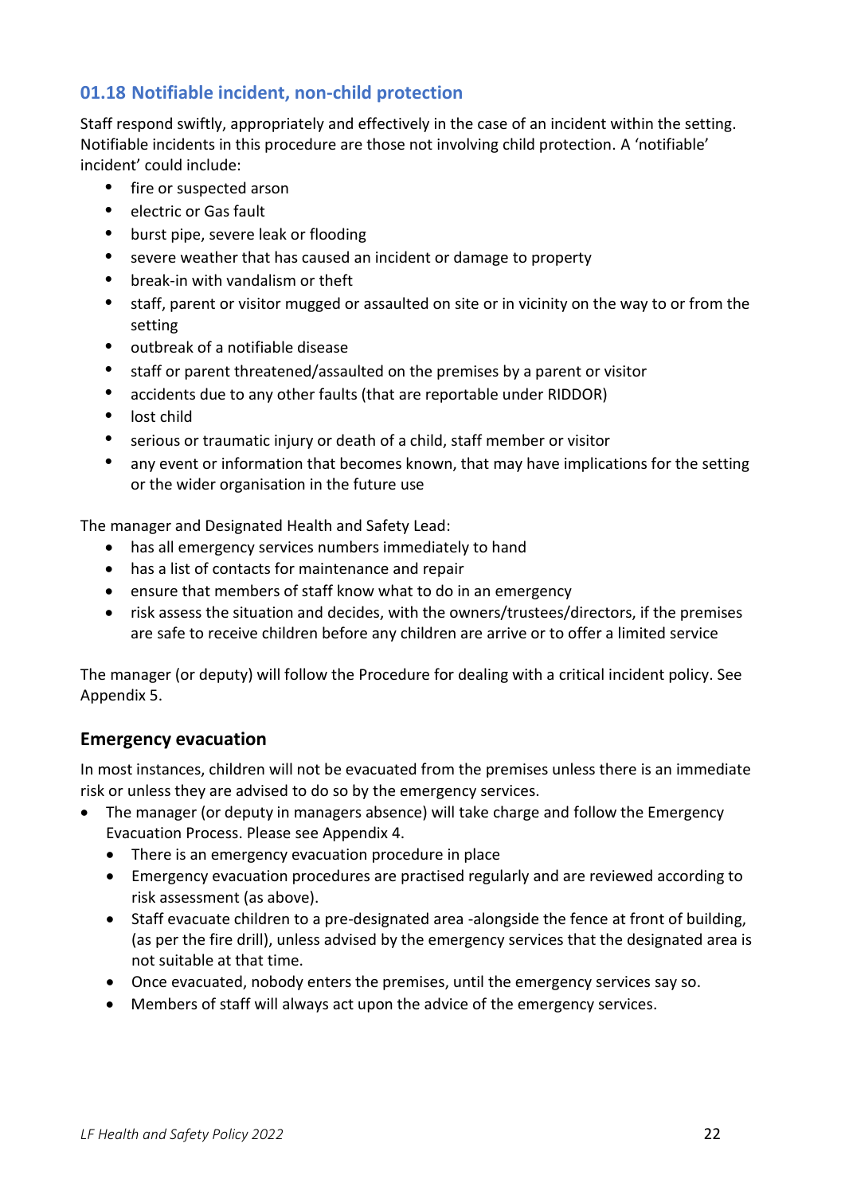# <span id="page-21-0"></span>**01.18 Notifiable incident, non-child protection**

Staff respond swiftly, appropriately and effectively in the case of an incident within the setting. Notifiable incidents in this procedure are those not involving child protection. A 'notifiable' incident' could include:

- fire or suspected arson
- electric or Gas fault
- burst pipe, severe leak or flooding
- severe weather that has caused an incident or damage to property
- break-in with vandalism or theft
- staff, parent or visitor mugged or assaulted on site or in vicinity on the way to or from the setting
- outbreak of a notifiable disease
- staff or parent threatened/assaulted on the premises by a parent or visitor
- accidents due to any other faults (that are reportable under RIDDOR)
- lost child
- serious or traumatic injury or death of a child, staff member or visitor
- any event or information that becomes known, that may have implications for the setting or the wider organisation in the future use

The manager and Designated Health and Safety Lead:

- has all emergency services numbers immediately to hand
- has a list of contacts for maintenance and repair
- ensure that members of staff know what to do in an emergency
- risk assess the situation and decides, with the owners/trustees/directors, if the premises are safe to receive children before any children are arrive or to offer a limited service

The manager (or deputy) will follow the Procedure for dealing with a critical incident policy. See Appendix 5.

### <span id="page-21-1"></span>**Emergency evacuation**

In most instances, children will not be evacuated from the premises unless there is an immediate risk or unless they are advised to do so by the emergency services.

- The manager (or deputy in managers absence) will take charge and follow the Emergency Evacuation Process. Please see Appendix 4.
	- There is an emergency evacuation procedure in place
	- Emergency evacuation procedures are practised regularly and are reviewed according to risk assessment (as above).
	- Staff evacuate children to a pre-designated area -alongside the fence at front of building, (as per the fire drill), unless advised by the emergency services that the designated area is not suitable at that time.
	- Once evacuated, nobody enters the premises, until the emergency services say so.
	- Members of staff will always act upon the advice of the emergency services.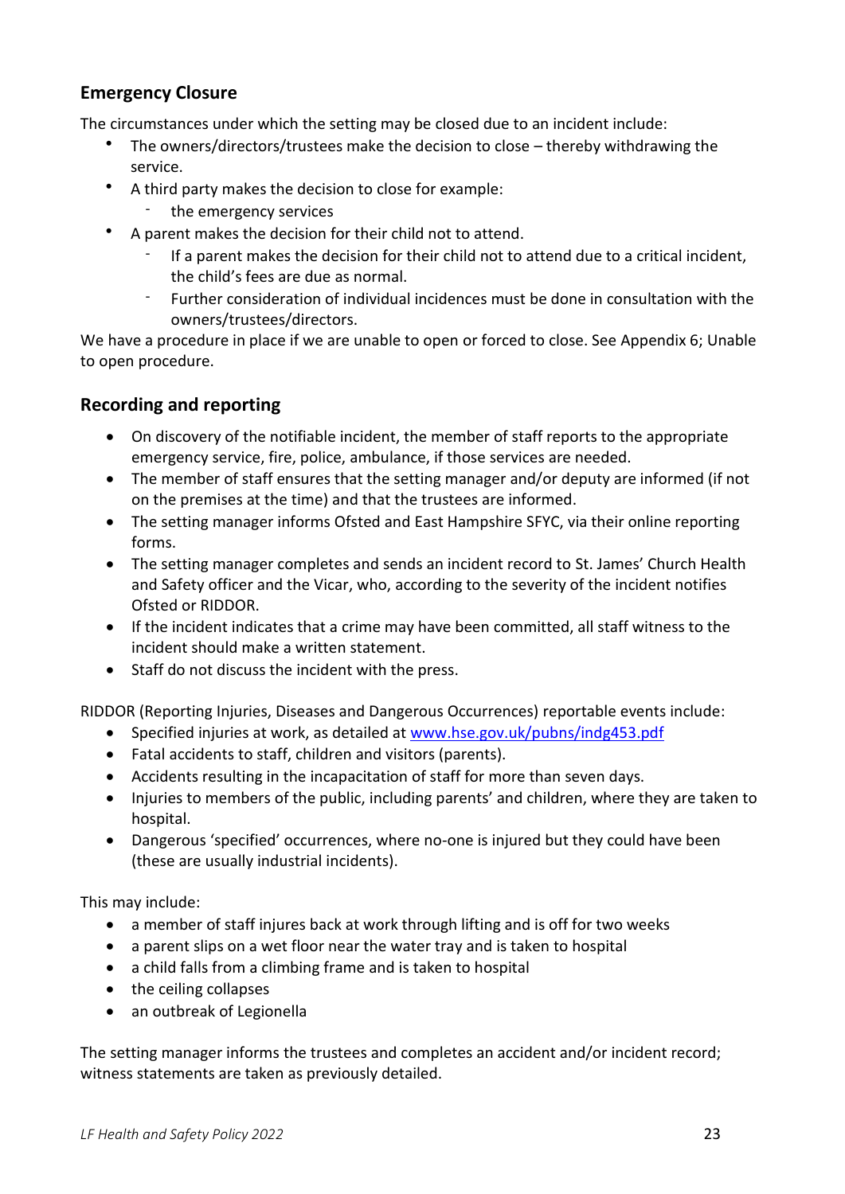# <span id="page-22-0"></span>**Emergency Closure**

The circumstances under which the setting may be closed due to an incident include:

- The owners/directors/trustees make the decision to close thereby withdrawing the service.
- A third party makes the decision to close for example:
	- the emergency services
- A parent makes the decision for their child not to attend.
	- If a parent makes the decision for their child not to attend due to a critical incident, the child's fees are due as normal.
	- Further consideration of individual incidences must be done in consultation with the owners/trustees/directors.

We have a procedure in place if we are unable to open or forced to close. See Appendix 6; Unable to open procedure.

### <span id="page-22-1"></span>**Recording and reporting**

- On discovery of the notifiable incident, the member of staff reports to the appropriate emergency service, fire, police, ambulance, if those services are needed.
- The member of staff ensures that the setting manager and/or deputy are informed (if not on the premises at the time) and that the trustees are informed.
- The setting manager informs Ofsted and East Hampshire SFYC, via their online reporting forms.
- The setting manager completes and sends an incident record to St. James' Church Health and Safety officer and the Vicar, who, according to the severity of the incident notifies Ofsted or RIDDOR.
- If the incident indicates that a crime may have been committed, all staff witness to the incident should make a written statement.
- Staff do not discuss the incident with the press.

RIDDOR (Reporting Injuries, Diseases and Dangerous Occurrences) reportable events include:

- Specified injuries at work, as detailed at [www.hse.gov.uk/pubns/indg453.pdf](http://www.hse.gov.uk/pubns/indg453.pdf)
- Fatal accidents to staff, children and visitors (parents).
- Accidents resulting in the incapacitation of staff for more than seven days.
- Injuries to members of the public, including parents' and children, where they are taken to hospital.
- Dangerous 'specified' occurrences, where no-one is injured but they could have been (these are usually industrial incidents).

This may include:

- a member of staff injures back at work through lifting and is off for two weeks
- a parent slips on a wet floor near the water tray and is taken to hospital
- a child falls from a climbing frame and is taken to hospital
- the ceiling collapses
- an outbreak of Legionella

The setting manager informs the trustees and completes an accident and/or incident record; witness statements are taken as previously detailed.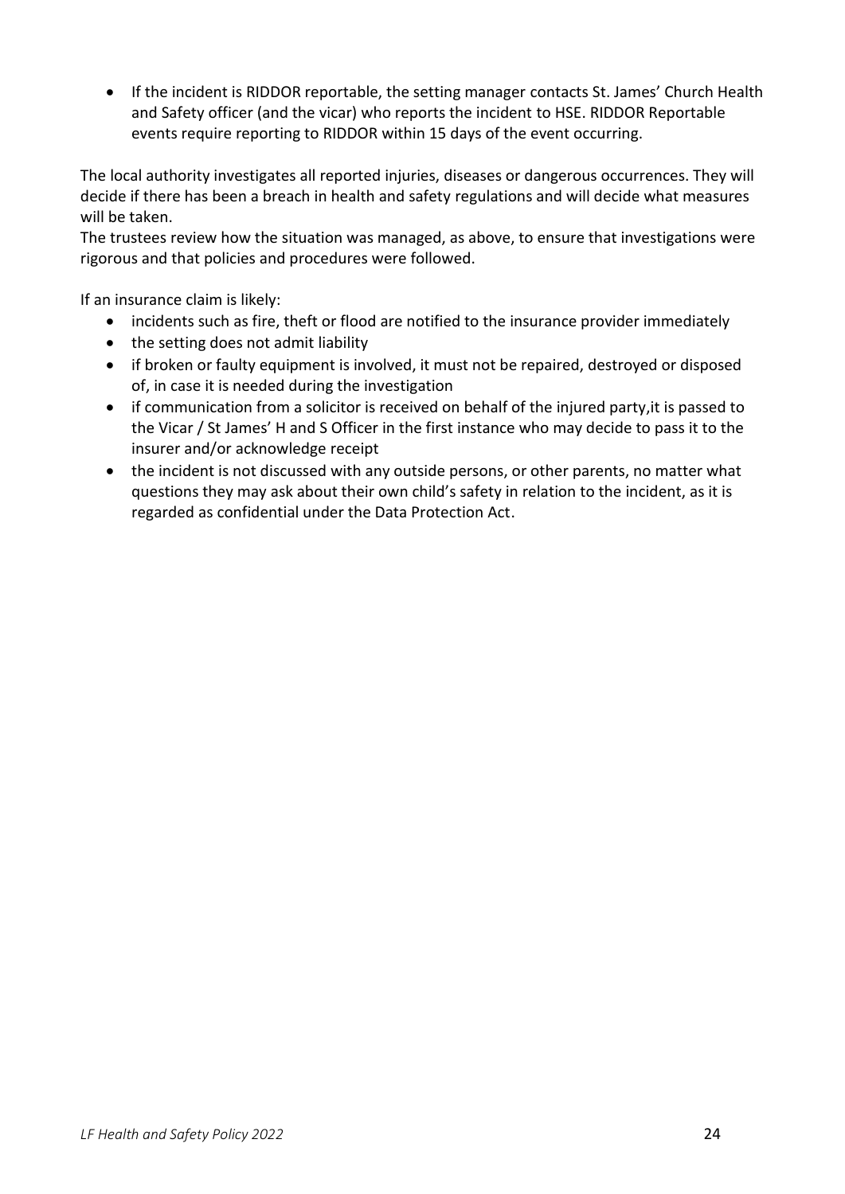• If the incident is RIDDOR reportable, the setting manager contacts St. James' Church Health and Safety officer (and the vicar) who reports the incident to HSE. RIDDOR Reportable events require reporting to RIDDOR within 15 days of the event occurring.

The local authority investigates all reported injuries, diseases or dangerous occurrences. They will decide if there has been a breach in health and safety regulations and will decide what measures will be taken.

The trustees review how the situation was managed, as above, to ensure that investigations were rigorous and that policies and procedures were followed.

If an insurance claim is likely:

- incidents such as fire, theft or flood are notified to the insurance provider immediately
- the setting does not admit liability
- if broken or faulty equipment is involved, it must not be repaired, destroyed or disposed of, in case it is needed during the investigation
- if communication from a solicitor is received on behalf of the injured party,it is passed to the Vicar / St James' H and S Officer in the first instance who may decide to pass it to the insurer and/or acknowledge receipt
- the incident is not discussed with any outside persons, or other parents, no matter what questions they may ask about their own child's safety in relation to the incident, as it is regarded as confidential under the Data Protection Act.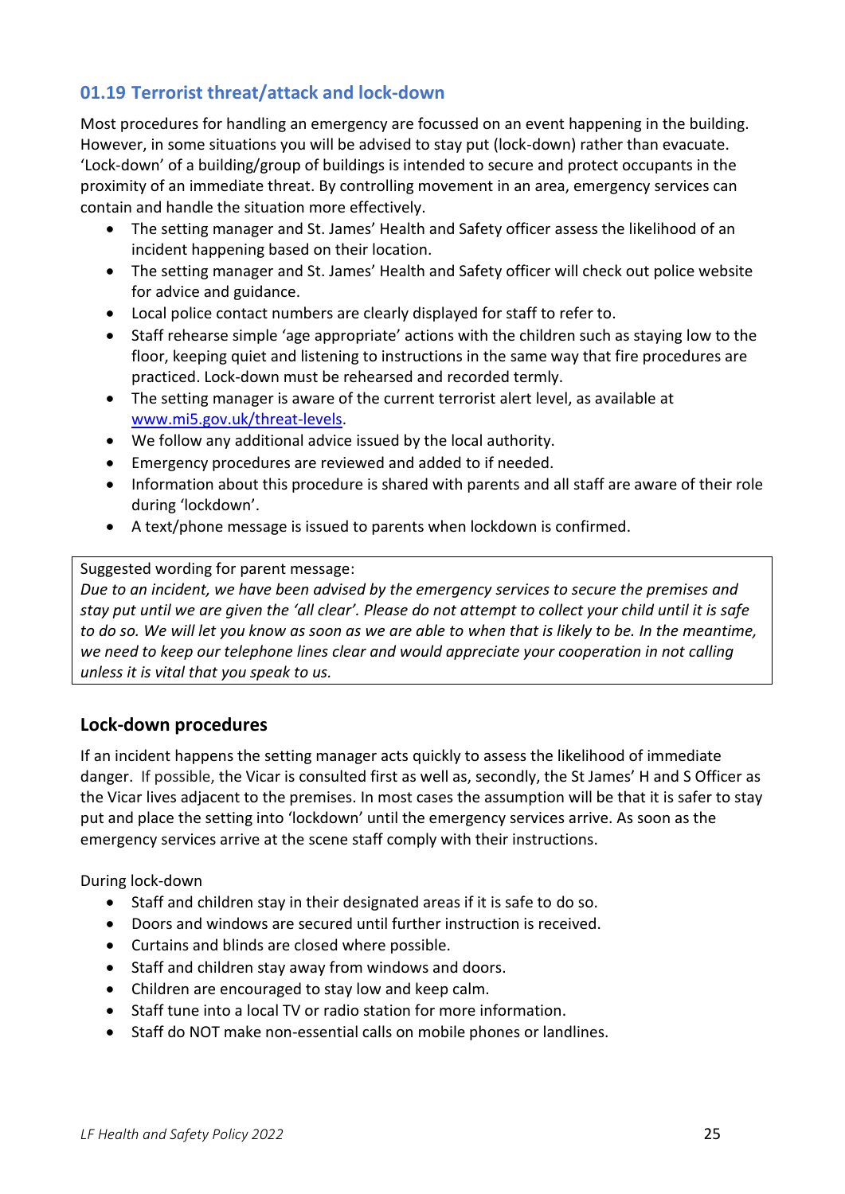# <span id="page-24-0"></span>**01.19 Terrorist threat/attack and lock-down**

Most procedures for handling an emergency are focussed on an event happening in the building. However, in some situations you will be advised to stay put (lock-down) rather than evacuate. 'Lock-down' of a building/group of buildings is intended to secure and protect occupants in the proximity of an immediate threat. By controlling movement in an area, emergency services can contain and handle the situation more effectively.

- The setting manager and St. James' Health and Safety officer assess the likelihood of an incident happening based on their location.
- The setting manager and St. James' Health and Safety officer will check out police website for advice and guidance.
- Local police contact numbers are clearly displayed for staff to refer to.
- Staff rehearse simple 'age appropriate' actions with the children such as staying low to the floor, keeping quiet and listening to instructions in the same way that fire procedures are practiced. Lock-down must be rehearsed and recorded termly.
- The setting manager is aware of the current terrorist alert level, as available at [www.mi5.gov.uk/threat-levels.](http://www.mi5.gov.uk/threat-levels)
- We follow any additional advice issued by the local authority.
- Emergency procedures are reviewed and added to if needed.
- Information about this procedure is shared with parents and all staff are aware of their role during 'lockdown'.
- A text/phone message is issued to parents when lockdown is confirmed.

#### Suggested wording for parent message:

*Due to an incident, we have been advised by the emergency services to secure the premises and stay put until we are given the 'all clear'. Please do not attempt to collect your child until it is safe to do so. We will let you know as soon as we are able to when that is likely to be. In the meantime, we need to keep our telephone lines clear and would appreciate your cooperation in not calling unless it is vital that you speak to us.*

### <span id="page-24-1"></span>**Lock-down procedures**

If an incident happens the setting manager acts quickly to assess the likelihood of immediate danger. If possible, the Vicar is consulted first as well as, secondly, the St James' H and S Officer as the Vicar lives adjacent to the premises. In most cases the assumption will be that it is safer to stay put and place the setting into 'lockdown' until the emergency services arrive. As soon as the emergency services arrive at the scene staff comply with their instructions.

During lock-down

- Staff and children stay in their designated areas if it is safe to do so.
- Doors and windows are secured until further instruction is received.
- Curtains and blinds are closed where possible.
- Staff and children stay away from windows and doors.
- Children are encouraged to stay low and keep calm.
- Staff tune into a local TV or radio station for more information.
- Staff do NOT make non-essential calls on mobile phones or landlines.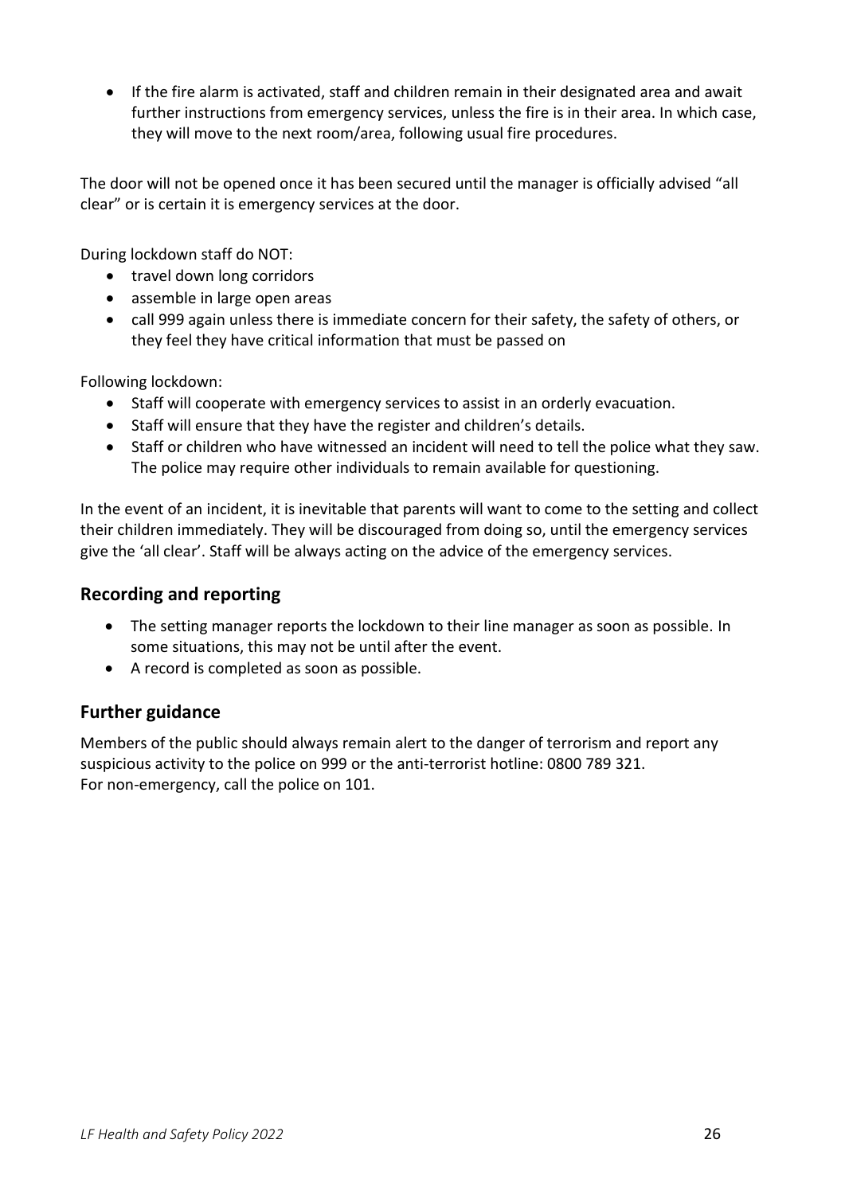• If the fire alarm is activated, staff and children remain in their designated area and await further instructions from emergency services, unless the fire is in their area. In which case, they will move to the next room/area, following usual fire procedures.

The door will not be opened once it has been secured until the manager is officially advised "all clear" or is certain it is emergency services at the door.

During lockdown staff do NOT:

- travel down long corridors
- assemble in large open areas
- call 999 again unless there is immediate concern for their safety, the safety of others, or they feel they have critical information that must be passed on

Following lockdown:

- Staff will cooperate with emergency services to assist in an orderly evacuation.
- Staff will ensure that they have the register and children's details.
- Staff or children who have witnessed an incident will need to tell the police what they saw. The police may require other individuals to remain available for questioning.

In the event of an incident, it is inevitable that parents will want to come to the setting and collect their children immediately. They will be discouraged from doing so, until the emergency services give the 'all clear'. Staff will be always acting on the advice of the emergency services.

#### <span id="page-25-0"></span>**Recording and reporting**

- The setting manager reports the lockdown to their line manager as soon as possible. In some situations, this may not be until after the event.
- A record is completed as soon as possible.

### <span id="page-25-1"></span>**Further guidance**

Members of the public should always remain alert to the danger of terrorism and report any suspicious activity to the police on 999 or the anti-terrorist hotline: 0800 789 321. For non-emergency, call the police on 101.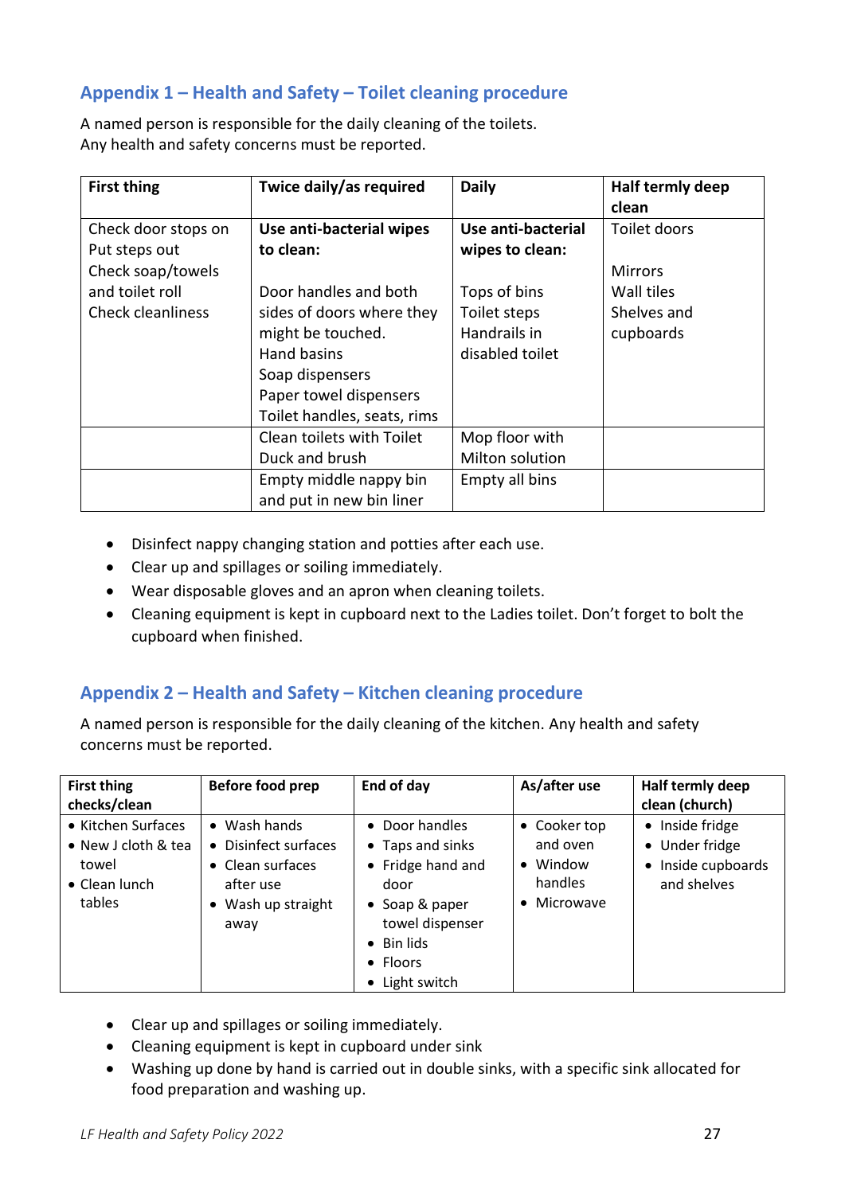# <span id="page-26-0"></span>**Appendix 1 – Health and Safety – Toilet cleaning procedure**

A named person is responsible for the daily cleaning of the toilets. Any health and safety concerns must be reported.

| <b>First thing</b>     | Twice daily/as required     | <b>Daily</b>       | Half termly deep |
|------------------------|-----------------------------|--------------------|------------------|
|                        |                             |                    | clean            |
| Check door stops on    | Use anti-bacterial wipes    | Use anti-bacterial | Toilet doors     |
| Put steps out          | to clean:                   | wipes to clean:    |                  |
| Check soap/towels      |                             |                    | <b>Mirrors</b>   |
| and toilet roll        | Door handles and both       | Tops of bins       | Wall tiles       |
| Check cleanliness      | sides of doors where they   | Toilet steps       | Shelves and      |
|                        | might be touched.           | Handrails in       | cupboards        |
|                        | Hand basins                 | disabled toilet    |                  |
|                        | Soap dispensers             |                    |                  |
|                        | Paper towel dispensers      |                    |                  |
|                        | Toilet handles, seats, rims |                    |                  |
|                        | Clean toilets with Toilet   | Mop floor with     |                  |
|                        | Duck and brush              | Milton solution    |                  |
| Empty middle nappy bin |                             | Empty all bins     |                  |
|                        | and put in new bin liner    |                    |                  |

- Disinfect nappy changing station and potties after each use.
- Clear up and spillages or soiling immediately.
- Wear disposable gloves and an apron when cleaning toilets.
- Cleaning equipment is kept in cupboard next to the Ladies toilet. Don't forget to bolt the cupboard when finished.

### <span id="page-26-1"></span>**Appendix 2 – Health and Safety – Kitchen cleaning procedure**

A named person is responsible for the daily cleaning of the kitchen. Any health and safety concerns must be reported.

| <b>First thing</b><br>checks/clean                                                    | Before food prep                                                                                            | End of day                                                                                                                                                       | As/after use                                                           | Half termly deep<br>clean (church)                                                |
|---------------------------------------------------------------------------------------|-------------------------------------------------------------------------------------------------------------|------------------------------------------------------------------------------------------------------------------------------------------------------------------|------------------------------------------------------------------------|-----------------------------------------------------------------------------------|
| • Kitchen Surfaces<br>• New J cloth & tea<br>towel<br>$\bullet$ Clean lunch<br>tables | $\bullet$ Wash hands<br>• Disinfect surfaces<br>• Clean surfaces<br>after use<br>• Wash up straight<br>away | • Door handles<br>• Taps and sinks<br>• Fridge hand and<br>door<br>• Soap & paper<br>towel dispenser<br>$\bullet$ Bin lids<br>$\bullet$ Floors<br>• Light switch | • Cooker top<br>and oven<br>• Window<br>handles<br>$\bullet$ Microwave | • Inside fridge<br>• Under fridge<br>Inside cupboards<br>$\bullet$<br>and shelves |

- Clear up and spillages or soiling immediately.
- Cleaning equipment is kept in cupboard under sink
- Washing up done by hand is carried out in double sinks, with a specific sink allocated for food preparation and washing up.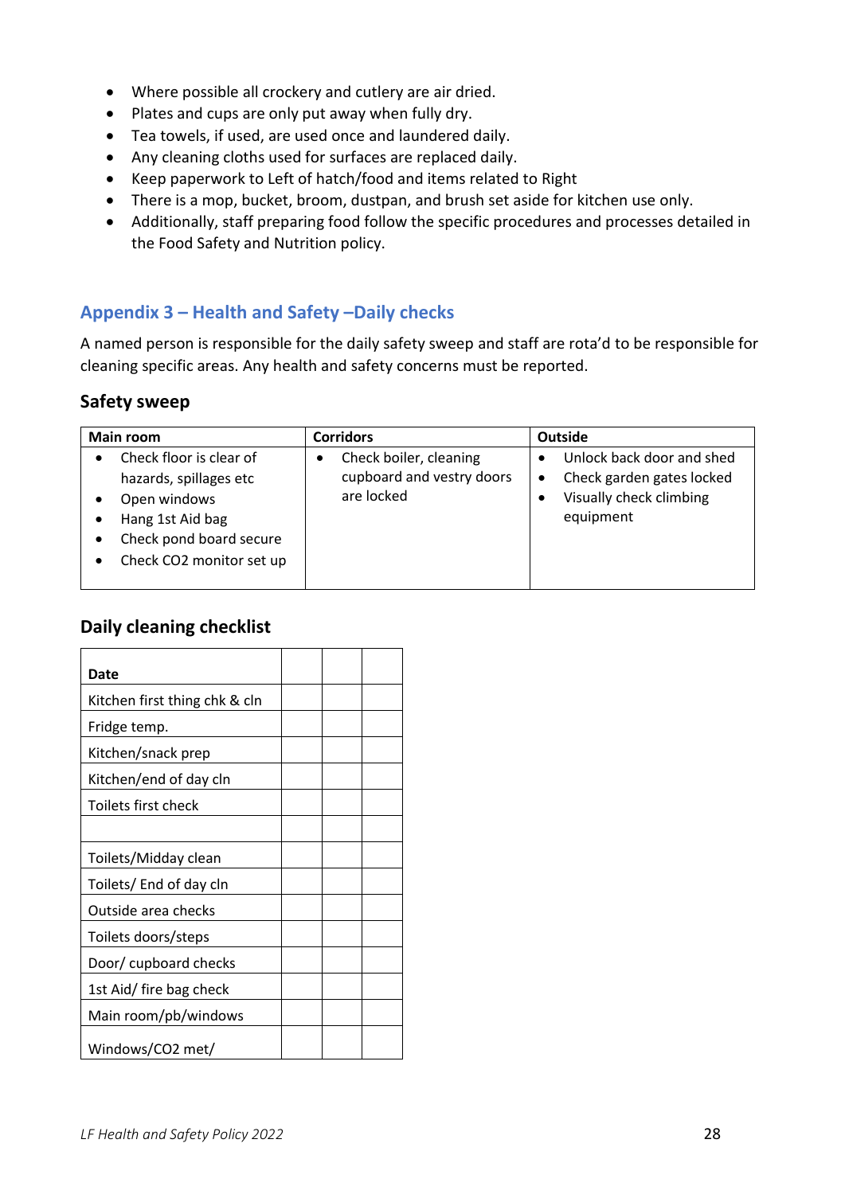- Where possible all crockery and cutlery are air dried.
- Plates and cups are only put away when fully dry.
- Tea towels, if used, are used once and laundered daily.
- Any cleaning cloths used for surfaces are replaced daily.
- Keep paperwork to Left of hatch/food and items related to Right
- There is a mop, bucket, broom, dustpan, and brush set aside for kitchen use only.
- Additionally, staff preparing food follow the specific procedures and processes detailed in the Food Safety and Nutrition policy.

# <span id="page-27-0"></span>**Appendix 3 – Health and Safety –Daily checks**

A named person is responsible for the daily safety sweep and staff are rota'd to be responsible for cleaning specific areas. Any health and safety concerns must be reported.

### **Safety sweep**

| Main room                                                                                                                                    | <b>Corridors</b>                                                  | Outside                                                                                        |  |
|----------------------------------------------------------------------------------------------------------------------------------------------|-------------------------------------------------------------------|------------------------------------------------------------------------------------------------|--|
| Check floor is clear of<br>hazards, spillages etc<br>Open windows<br>Hang 1st Aid bag<br>Check pond board secure<br>Check CO2 monitor set up | Check boiler, cleaning<br>cupboard and vestry doors<br>are locked | Unlock back door and shed<br>Check garden gates locked<br>Visually check climbing<br>equipment |  |

### **Daily cleaning checklist**

| Date                          |  |  |
|-------------------------------|--|--|
| Kitchen first thing chk & cln |  |  |
| Fridge temp.                  |  |  |
| Kitchen/snack prep            |  |  |
| Kitchen/end of day cln        |  |  |
| Toilets first check           |  |  |
|                               |  |  |
| Toilets/Midday clean          |  |  |
| Toilets/ End of day cln       |  |  |
| Outside area checks           |  |  |
| Toilets doors/steps           |  |  |
| Door/ cupboard checks         |  |  |
| 1st Aid/ fire bag check       |  |  |
| Main room/pb/windows          |  |  |
| Windows/CO2 met/              |  |  |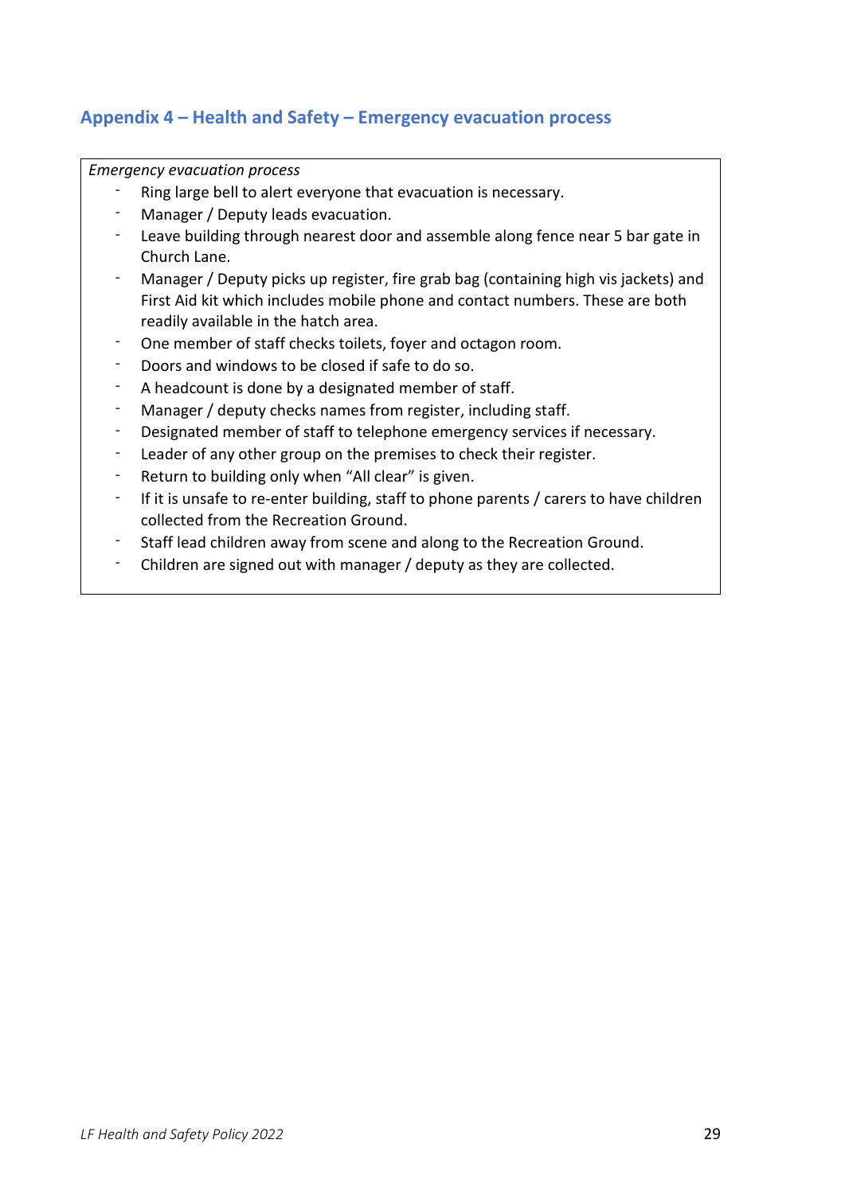# <span id="page-28-0"></span>**Appendix 4 – Health and Safety – Emergency evacuation process**

*Emergency evacuation process*

- Ring large bell to alert everyone that evacuation is necessary.
- Manager / Deputy leads evacuation.
- Leave building through nearest door and assemble along fence near 5 bar gate in Church Lane.
- Manager / Deputy picks up register, fire grab bag (containing high vis jackets) and First Aid kit which includes mobile phone and contact numbers. These are both readily available in the hatch area.
- One member of staff checks toilets, foyer and octagon room.
- Doors and windows to be closed if safe to do so.
- A headcount is done by a designated member of staff.
- Manager / deputy checks names from register, including staff.
- Designated member of staff to telephone emergency services if necessary.
- Leader of any other group on the premises to check their register.
- Return to building only when "All clear" is given.
- If it is unsafe to re-enter building, staff to phone parents / carers to have children collected from the Recreation Ground.
- Staff lead children away from scene and along to the Recreation Ground.
- Children are signed out with manager / deputy as they are collected.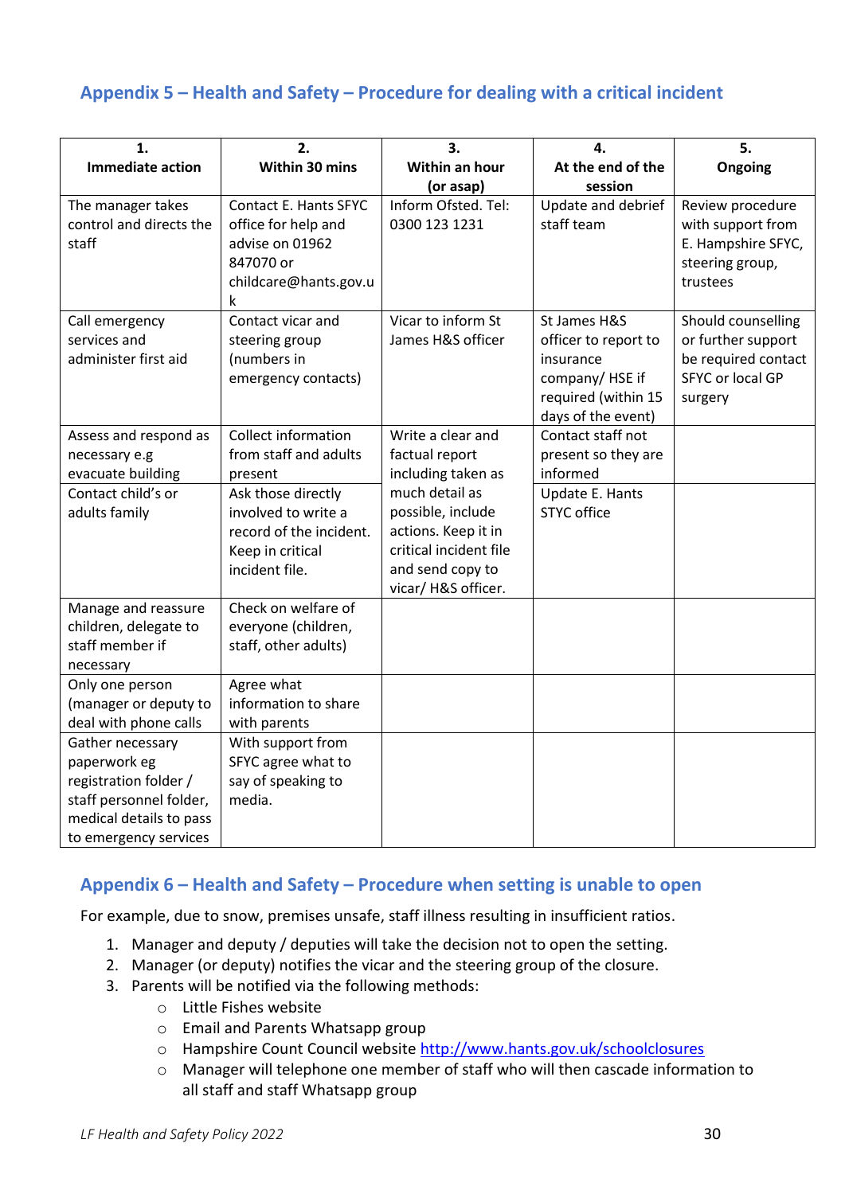# <span id="page-29-0"></span>**Appendix 5 – Health and Safety – Procedure for dealing with a critical incident**

| 1.                                                                                                                                       | 2.                                                                                                         | 3.                                                                                                                             | 4.                                                                                                               | 5.                                                                                             |
|------------------------------------------------------------------------------------------------------------------------------------------|------------------------------------------------------------------------------------------------------------|--------------------------------------------------------------------------------------------------------------------------------|------------------------------------------------------------------------------------------------------------------|------------------------------------------------------------------------------------------------|
| <b>Immediate action</b>                                                                                                                  | Within 30 mins                                                                                             | Within an hour                                                                                                                 | At the end of the                                                                                                | Ongoing                                                                                        |
|                                                                                                                                          |                                                                                                            | (or asap)                                                                                                                      | session                                                                                                          |                                                                                                |
| The manager takes<br>control and directs the<br>staff                                                                                    | Contact E. Hants SFYC<br>office for help and<br>advise on 01962<br>847070 or<br>childcare@hants.gov.u<br>k | Inform Ofsted. Tel:<br>0300 123 1231                                                                                           | Update and debrief<br>staff team                                                                                 | Review procedure<br>with support from<br>E. Hampshire SFYC,<br>steering group,<br>trustees     |
| Call emergency<br>services and<br>administer first aid                                                                                   | Contact vicar and<br>steering group<br>(numbers in<br>emergency contacts)                                  | Vicar to inform St<br>James H&S officer                                                                                        | St James H&S<br>officer to report to<br>insurance<br>company/HSE if<br>required (within 15<br>days of the event) | Should counselling<br>or further support<br>be required contact<br>SFYC or local GP<br>surgery |
| Assess and respond as<br>necessary e.g<br>evacuate building                                                                              | <b>Collect information</b><br>from staff and adults<br>present                                             | Write a clear and<br>factual report<br>including taken as                                                                      | Contact staff not<br>present so they are<br>informed                                                             |                                                                                                |
| Contact child's or<br>adults family                                                                                                      | Ask those directly<br>involved to write a<br>record of the incident.<br>Keep in critical<br>incident file. | much detail as<br>possible, include<br>actions. Keep it in<br>critical incident file<br>and send copy to<br>vicar/H&S officer. | Update E. Hants<br><b>STYC office</b>                                                                            |                                                                                                |
| Manage and reassure<br>children, delegate to<br>staff member if<br>necessary                                                             | Check on welfare of<br>everyone (children,<br>staff, other adults)                                         |                                                                                                                                |                                                                                                                  |                                                                                                |
| Only one person<br>(manager or deputy to<br>deal with phone calls                                                                        | Agree what<br>information to share<br>with parents                                                         |                                                                                                                                |                                                                                                                  |                                                                                                |
| Gather necessary<br>paperwork eg<br>registration folder /<br>staff personnel folder,<br>medical details to pass<br>to emergency services | With support from<br>SFYC agree what to<br>say of speaking to<br>media.                                    |                                                                                                                                |                                                                                                                  |                                                                                                |

### <span id="page-29-1"></span>**Appendix 6 – Health and Safety – Procedure when setting is unable to open**

For example, due to snow, premises unsafe, staff illness resulting in insufficient ratios.

- 1. Manager and deputy / deputies will take the decision not to open the setting.
- 2. Manager (or deputy) notifies the vicar and the steering group of the closure.
- 3. Parents will be notified via the following methods:
	- o Little Fishes website
	- o Email and Parents Whatsapp group
	- o Hampshire Count Council website<http://www.hants.gov.uk/schoolclosures>
	- o Manager will telephone one member of staff who will then cascade information to all staff and staff Whatsapp group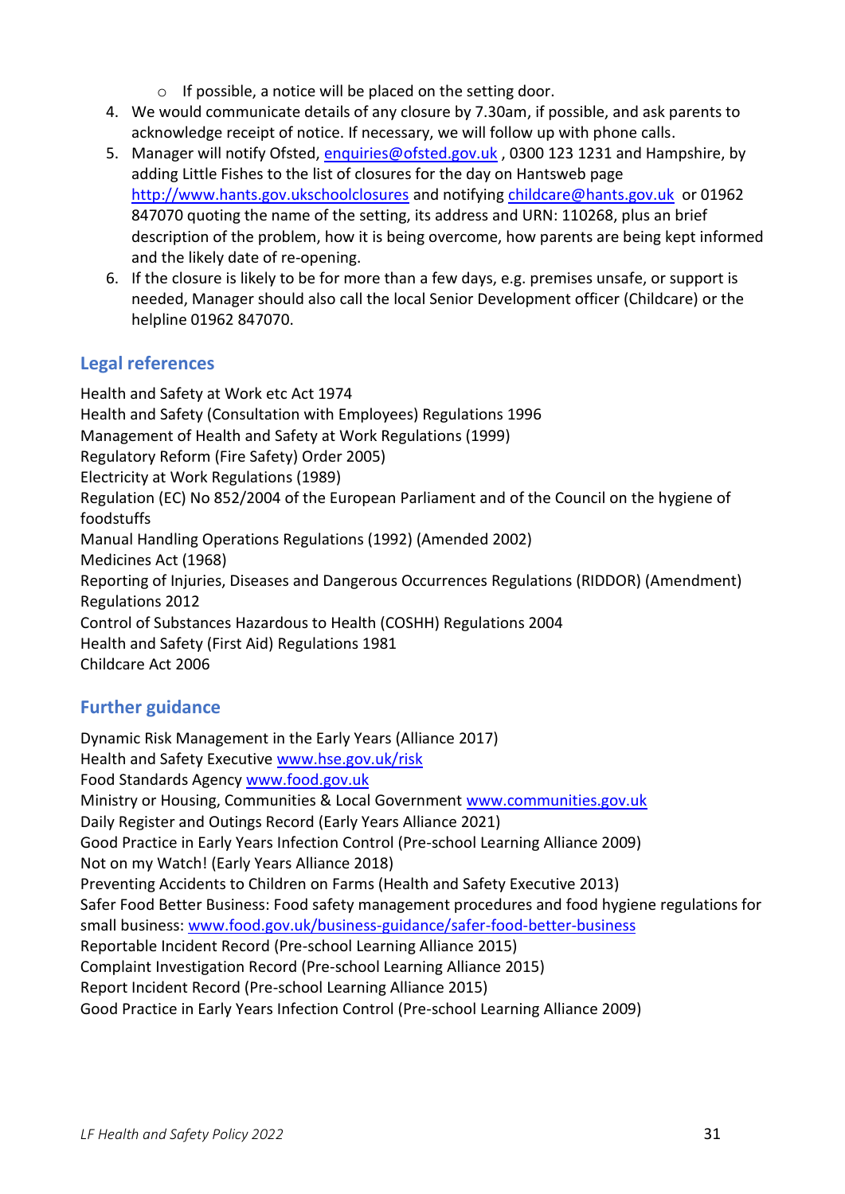- o If possible, a notice will be placed on the setting door.
- 4. We would communicate details of any closure by 7.30am, if possible, and ask parents to acknowledge receipt of notice. If necessary, we will follow up with phone calls.
- 5. Manager will notify Ofsted, [enquiries@ofsted.gov.uk](mailto:enquiries@ofsted.gov.uk), 0300 123 1231 and Hampshire, by adding Little Fishes to the list of closures for the day on Hantsweb page [http://www.hants.gov.ukschoolclosures](http://www.hants.gov.ukschoolclosures/) and notifying [childcare@hants.gov.uk](mailto:childcare@hants.gov.uk) or 01962 847070 quoting the name of the setting, its address and URN: 110268, plus an brief description of the problem, how it is being overcome, how parents are being kept informed and the likely date of re-opening.
- 6. If the closure is likely to be for more than a few days, e.g. premises unsafe, or support is needed, Manager should also call the local Senior Development officer (Childcare) or the helpline 01962 847070.

# <span id="page-30-0"></span>**Legal references**

Health and Safety at Work etc Act 1974 Health and Safety (Consultation with Employees) Regulations 1996 Management of Health and Safety at Work Regulations (1999) Regulatory Reform (Fire Safety) Order 2005) Electricity at Work Regulations (1989) Regulation (EC) No 852/2004 of the European Parliament and of the Council on the hygiene of foodstuffs Manual Handling Operations Regulations (1992) (Amended 2002) Medicines Act (1968) Reporting of Injuries, Diseases and Dangerous Occurrences Regulations (RIDDOR) (Amendment) Regulations 2012 Control of Substances Hazardous to Health (COSHH) Regulations 2004 Health and Safety (First Aid) Regulations 1981 Childcare Act 2006

# <span id="page-30-1"></span>**Further guidance**

Dynamic Risk Management in the Early Years (Alliance 2017) Health and Safety Executive www.hse.gov.uk/risk Food Standards Agency [www.food.gov.uk](http://www.fod.gov.uk/) Ministry or Housing, Communities & Local Government [www.communities.gov.uk](https://preschoolla.sharepoint.com/sites/COMM/Shared%20Documents/Pubs/Pubs%20Print%20Promo/Pub%20Drafts/A026%20Policies%20&%20Procedures%20for%20the%20EYFS%202021/A026%20FINAL/www.communities.gov.uk) Daily Register and Outings Record (Early Years Alliance 2021) Good Practice in Early Years Infection Control (Pre-school Learning Alliance 2009) Not on my Watch! (Early Years Alliance 2018) Preventing Accidents to Children on Farms (Health and Safety Executive 2013) Safer Food Better Business: Food safety management procedures and food hygiene regulations for small business: [www.food.gov.uk/business-guidance/safer-food-better-business](http://www.food.gov.uk/business-guidance/safer-food-better-business) Reportable Incident Record (Pre-school Learning Alliance 2015) Complaint Investigation Record (Pre-school Learning Alliance 2015) Report Incident Record (Pre-school Learning Alliance 2015) Good Practice in Early Years Infection Control (Pre-school Learning Alliance 2009)